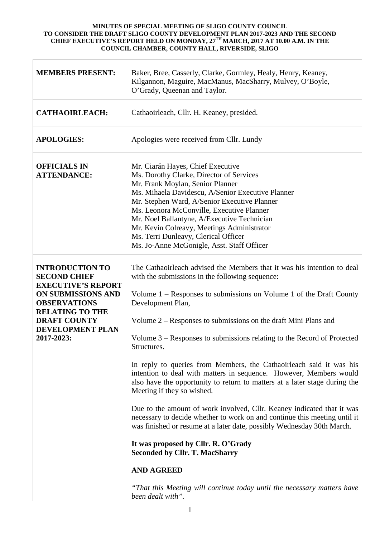| <b>MEMBERS PRESENT:</b>                                                                                                                                                                                    | Baker, Bree, Casserly, Clarke, Gormley, Healy, Henry, Keaney,<br>Kilgannon, Maguire, MacManus, MacSharry, Mulvey, O'Boyle,<br>O'Grady, Queenan and Taylor.                                                                                                                                                                                                                                                                                                                                                                                                                                                                                                                                                                                                                                                                                                                                                                                                                                                                                                                             |
|------------------------------------------------------------------------------------------------------------------------------------------------------------------------------------------------------------|----------------------------------------------------------------------------------------------------------------------------------------------------------------------------------------------------------------------------------------------------------------------------------------------------------------------------------------------------------------------------------------------------------------------------------------------------------------------------------------------------------------------------------------------------------------------------------------------------------------------------------------------------------------------------------------------------------------------------------------------------------------------------------------------------------------------------------------------------------------------------------------------------------------------------------------------------------------------------------------------------------------------------------------------------------------------------------------|
| <b>CATHAOIRLEACH:</b>                                                                                                                                                                                      | Cathaoirleach, Cllr. H. Keaney, presided.                                                                                                                                                                                                                                                                                                                                                                                                                                                                                                                                                                                                                                                                                                                                                                                                                                                                                                                                                                                                                                              |
| <b>APOLOGIES:</b>                                                                                                                                                                                          | Apologies were received from Cllr. Lundy                                                                                                                                                                                                                                                                                                                                                                                                                                                                                                                                                                                                                                                                                                                                                                                                                                                                                                                                                                                                                                               |
| <b>OFFICIALS IN</b><br><b>ATTENDANCE:</b>                                                                                                                                                                  | Mr. Ciarán Hayes, Chief Executive<br>Ms. Dorothy Clarke, Director of Services<br>Mr. Frank Moylan, Senior Planner<br>Ms. Mihaela Davidescu, A/Senior Executive Planner<br>Mr. Stephen Ward, A/Senior Executive Planner<br>Ms. Leonora McConville, Executive Planner<br>Mr. Noel Ballantyne, A/Executive Technician<br>Mr. Kevin Colreavy, Meetings Administrator<br>Ms. Terri Dunleavy, Clerical Officer<br>Ms. Jo-Anne McGonigle, Asst. Staff Officer                                                                                                                                                                                                                                                                                                                                                                                                                                                                                                                                                                                                                                 |
| <b>INTRODUCTION TO</b><br><b>SECOND CHIEF</b><br><b>EXECUTIVE'S REPORT</b><br>ON SUBMISSIONS AND<br><b>OBSERVATIONS</b><br><b>RELATING TO THE</b><br><b>DRAFT COUNTY</b><br>DEVELOPMENT PLAN<br>2017-2023: | The Cathaoirleach advised the Members that it was his intention to deal<br>with the submissions in the following sequence:<br>Volume $1 -$ Responses to submissions on Volume 1 of the Draft County<br>Development Plan,<br>Volume 2 – Responses to submissions on the draft Mini Plans and<br>Volume $3$ – Responses to submissions relating to the Record of Protected<br>Structures.<br>In reply to queries from Members, the Cathaoirleach said it was his<br>intention to deal with matters in sequence. However, Members would<br>also have the opportunity to return to matters at a later stage during the<br>Meeting if they so wished.<br>Due to the amount of work involved, Cllr. Keaney indicated that it was<br>necessary to decide whether to work on and continue this meeting until it<br>was finished or resume at a later date, possibly Wednesday 30th March.<br>It was proposed by Cllr. R. O'Grady<br><b>Seconded by Cllr. T. MacSharry</b><br><b>AND AGREED</b><br>"That this Meeting will continue today until the necessary matters have<br>been dealt with". |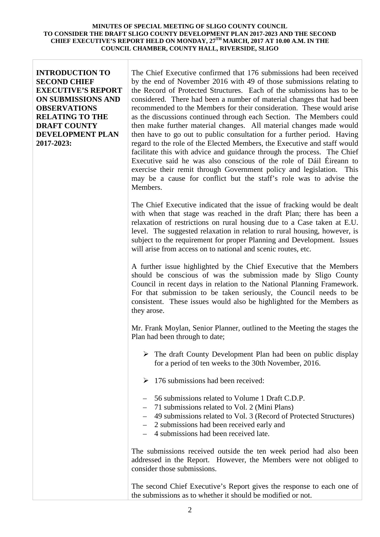## **INTRODUCTION TO SECOND CHIEF EXECUTIVE'S REPORT ON SUBMISSIONS AND OBSERVATIONS RELATING TO THE DRAFT COUNTY DEVELOPMENT PLAN 2017-2023:**

The Chief Executive confirmed that 176 submissions had been received by the end of November 2016 with 49 of those submissions relating to the Record of Protected Structures. Each of the submissions has to be considered. There had been a number of material changes that had been recommended to the Members for their consideration. These would arise as the discussions continued through each Section. The Members could then make further material changes. All material changes made would then have to go out to public consultation for a further period. Having regard to the role of the Elected Members, the Executive and staff would facilitate this with advice and guidance through the process. The Chief Executive said he was also conscious of the role of Dáil Éireann to exercise their remit through Government policy and legislation. This may be a cause for conflict but the staff's role was to advise the Members.

The Chief Executive indicated that the issue of fracking would be dealt with when that stage was reached in the draft Plan; there has been a relaxation of restrictions on rural housing due to a Case taken at E.U. level. The suggested relaxation in relation to rural housing, however, is subject to the requirement for proper Planning and Development. Issues will arise from access on to national and scenic routes, etc.

A further issue highlighted by the Chief Executive that the Members should be conscious of was the submission made by Sligo County Council in recent days in relation to the National Planning Framework. For that submission to be taken seriously, the Council needs to be consistent. These issues would also be highlighted for the Members as they arose.

Mr. Frank Moylan, Senior Planner, outlined to the Meeting the stages the Plan had been through to date;

- $\triangleright$  The draft County Development Plan had been on public display for a period of ten weeks to the 30th November, 2016.
- $\geq 176$  submissions had been received:
- 56 submissions related to Volume 1 Draft C.D.P.
- 71 submissions related to Vol. 2 (Mini Plans)
- 49 submissions related to Vol. 3 (Record of Protected Structures)
- 2 submissions had been received early and
- 4 submissions had been received late.

The submissions received outside the ten week period had also been addressed in the Report. However, the Members were not obliged to consider those submissions.

The second Chief Executive's Report gives the response to each one of the submissions as to whether it should be modified or not.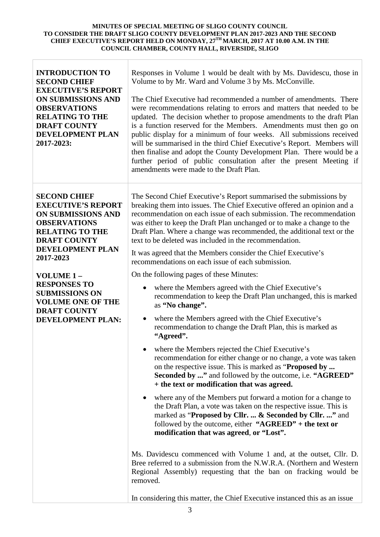| <b>INTRODUCTION TO</b><br><b>SECOND CHIEF</b><br><b>EXECUTIVE'S REPORT</b><br><b>ON SUBMISSIONS AND</b><br><b>OBSERVATIONS</b><br><b>RELATING TO THE</b><br><b>DRAFT COUNTY</b><br>DEVELOPMENT PLAN<br>2017-2023: | Responses in Volume 1 would be dealt with by Ms. Davidescu, those in<br>Volume to by Mr. Ward and Volume 3 by Ms. McConville.<br>The Chief Executive had recommended a number of amendments. There<br>were recommendations relating to errors and matters that needed to be<br>updated. The decision whether to propose amendments to the draft Plan<br>is a function reserved for the Members. Amendments must then go on<br>public display for a minimum of four weeks. All submissions received<br>will be summarised in the third Chief Executive's Report. Members will<br>then finalise and adopt the County Development Plan. There would be a<br>further period of public consultation after the present Meeting if<br>amendments were made to the Draft Plan.                                                                                                                                                                                                                                                                                                                                                                                                                                                                                                |
|-------------------------------------------------------------------------------------------------------------------------------------------------------------------------------------------------------------------|-----------------------------------------------------------------------------------------------------------------------------------------------------------------------------------------------------------------------------------------------------------------------------------------------------------------------------------------------------------------------------------------------------------------------------------------------------------------------------------------------------------------------------------------------------------------------------------------------------------------------------------------------------------------------------------------------------------------------------------------------------------------------------------------------------------------------------------------------------------------------------------------------------------------------------------------------------------------------------------------------------------------------------------------------------------------------------------------------------------------------------------------------------------------------------------------------------------------------------------------------------------------------|
| <b>SECOND CHIEF</b><br><b>EXECUTIVE'S REPORT</b><br><b>ON SUBMISSIONS AND</b><br><b>OBSERVATIONS</b><br><b>RELATING TO THE</b><br><b>DRAFT COUNTY</b><br><b>DEVELOPMENT PLAN</b><br>2017-2023                     | The Second Chief Executive's Report summarised the submissions by<br>breaking them into issues. The Chief Executive offered an opinion and a<br>recommendation on each issue of each submission. The recommendation<br>was either to keep the Draft Plan unchanged or to make a change to the<br>Draft Plan. Where a change was recommended, the additional text or the<br>text to be deleted was included in the recommendation.<br>It was agreed that the Members consider the Chief Executive's                                                                                                                                                                                                                                                                                                                                                                                                                                                                                                                                                                                                                                                                                                                                                                    |
| VOLUME <sub>1</sub> -<br><b>RESPONSES TO</b><br><b>SUBMISSIONS ON</b><br><b>VOLUME ONE OF THE</b><br><b>DRAFT COUNTY</b><br><b>DEVELOPMENT PLAN:</b>                                                              | recommendations on each issue of each submission.<br>On the following pages of these Minutes:<br>where the Members agreed with the Chief Executive's<br>$\bullet$<br>recommendation to keep the Draft Plan unchanged, this is marked<br>as "No change".<br>where the Members agreed with the Chief Executive's<br>$\bullet$<br>recommendation to change the Draft Plan, this is marked as<br>"Agreed".<br>where the Members rejected the Chief Executive's<br>٠<br>recommendation for either change or no change, a vote was taken<br>on the respective issue. This is marked as "Proposed by<br><b>Seconded by </b> " and followed by the outcome, i.e. "AGREED"<br>+ the text or modification that was agreed.<br>where any of the Members put forward a motion for a change to<br>$\bullet$<br>the Draft Plan, a vote was taken on the respective issue. This is<br>marked as "Proposed by Cllr.  & Seconded by Cllr. " and<br>followed by the outcome, either " $AGREED"$ + the text or<br>modification that was agreed, or "Lost".<br>Ms. Davidescu commenced with Volume 1 and, at the outset, Cllr. D.<br>Bree referred to a submission from the N.W.R.A. (Northern and Western<br>Regional Assembly) requesting that the ban on fracking would be<br>removed. |
|                                                                                                                                                                                                                   | In considering this matter, the Chief Executive instanced this as an issue                                                                                                                                                                                                                                                                                                                                                                                                                                                                                                                                                                                                                                                                                                                                                                                                                                                                                                                                                                                                                                                                                                                                                                                            |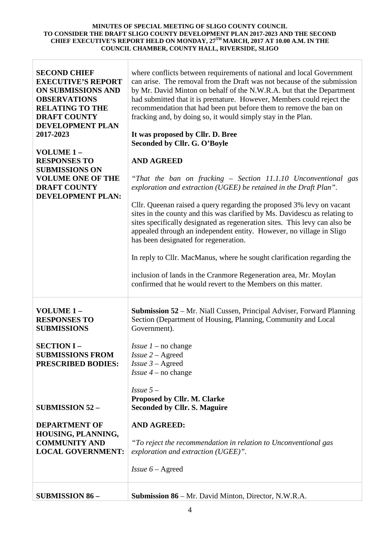| <b>SECOND CHIEF</b><br><b>EXECUTIVE'S REPORT</b><br><b>ON SUBMISSIONS AND</b><br><b>OBSERVATIONS</b><br><b>RELATING TO THE</b><br><b>DRAFT COUNTY</b><br><b>DEVELOPMENT PLAN</b><br>2017-2023<br>VOLUME 1-<br><b>RESPONSES TO</b><br><b>SUBMISSIONS ON</b><br><b>VOLUME ONE OF THE</b><br><b>DRAFT COUNTY</b><br><b>DEVELOPMENT PLAN:</b> | where conflicts between requirements of national and local Government<br>can arise. The removal from the Draft was not because of the submission<br>by Mr. David Minton on behalf of the N.W.R.A. but that the Department<br>had submitted that it is premature. However, Members could reject the<br>recommendation that had been put before them to remove the ban on<br>fracking and, by doing so, it would simply stay in the Plan.<br>It was proposed by Cllr. D. Bree<br>Seconded by Cllr. G. O'Boyle<br><b>AND AGREED</b><br>"That the ban on fracking – Section 11.1.10 Unconventional gas<br>exploration and extraction (UGEE) be retained in the Draft Plan".<br>Cllr. Queenan raised a query regarding the proposed 3% levy on vacant<br>sites in the county and this was clarified by Ms. Davidescu as relating to<br>sites specifically designated as regeneration sites. This levy can also be<br>appealed through an independent entity. However, no village in Sligo<br>has been designated for regeneration.<br>In reply to Cllr. MacManus, where he sought clarification regarding the<br>inclusion of lands in the Cranmore Regeneration area, Mr. Moylan<br>confirmed that he would revert to the Members on this matter. |
|-------------------------------------------------------------------------------------------------------------------------------------------------------------------------------------------------------------------------------------------------------------------------------------------------------------------------------------------|-----------------------------------------------------------------------------------------------------------------------------------------------------------------------------------------------------------------------------------------------------------------------------------------------------------------------------------------------------------------------------------------------------------------------------------------------------------------------------------------------------------------------------------------------------------------------------------------------------------------------------------------------------------------------------------------------------------------------------------------------------------------------------------------------------------------------------------------------------------------------------------------------------------------------------------------------------------------------------------------------------------------------------------------------------------------------------------------------------------------------------------------------------------------------------------------------------------------------------------------------|
| VOLUME 1-<br><b>RESPONSES TO</b><br><b>SUBMISSIONS</b><br><b>SECTION I-</b><br><b>SUBMISSIONS FROM</b><br><b>PRESCRIBED BODIES:</b><br><b>SUBMISSION 52 -</b><br><b>DEPARTMENT OF</b><br>HOUSING, PLANNING,<br><b>COMMUNITY AND</b>                                                                                                       | <b>Submission 52</b> – Mr. Niall Cussen, Principal Adviser, Forward Planning<br>Section (Department of Housing, Planning, Community and Local<br>Government).<br><i>Issue</i> $1$ – no change<br>$Is5u2 - Agreed$<br><i>Issue</i> $3 -$ Agreed<br><i>Issue</i> $4$ – no change<br>$Is sue 5-$<br>Proposed by Cllr. M. Clarke<br><b>Seconded by Cllr. S. Maguire</b><br><b>AND AGREED:</b><br>"To reject the recommendation in relation to Unconventional gas                                                                                                                                                                                                                                                                                                                                                                                                                                                                                                                                                                                                                                                                                                                                                                                  |
| <b>LOCAL GOVERNMENT:</b><br><b>SUBMISSION 86 -</b>                                                                                                                                                                                                                                                                                        | exploration and extraction (UGEE)".<br><i>Issue</i> $6 -$ Agreed<br><b>Submission 86</b> – Mr. David Minton, Director, N.W.R.A.                                                                                                                                                                                                                                                                                                                                                                                                                                                                                                                                                                                                                                                                                                                                                                                                                                                                                                                                                                                                                                                                                                               |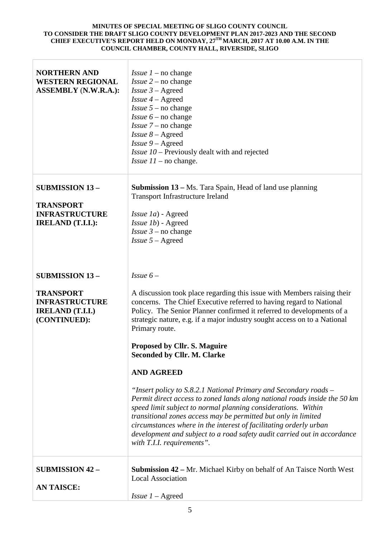| <b>NORTHERN AND</b><br><b>WESTERN REGIONAL</b><br><b>ASSEMBLY (N.W.R.A.):</b>                                 | <i>Issue 1</i> – no change<br><i>Issue</i> $2$ – no change<br><i>Issue</i> $3 -$ Agreed<br><i>Issue</i> $4 -$ Agreed<br><i>Issue</i> $5$ – no change<br><i>Issue</i> $6$ – no change<br><i>Issue</i> $7$ – no change<br><i>Issue 8 – Agreed</i><br>$Is5ue 9 - Agreed$<br>Issue 10 - Previously dealt with and rejected<br><i>Issue</i> $11$ – no change.                                                                                                                                                                                                                                                                                                                                                                                                                                                                                                                                                  |
|---------------------------------------------------------------------------------------------------------------|-----------------------------------------------------------------------------------------------------------------------------------------------------------------------------------------------------------------------------------------------------------------------------------------------------------------------------------------------------------------------------------------------------------------------------------------------------------------------------------------------------------------------------------------------------------------------------------------------------------------------------------------------------------------------------------------------------------------------------------------------------------------------------------------------------------------------------------------------------------------------------------------------------------|
| <b>SUBMISSION 13-</b><br><b>TRANSPORT</b><br><b>INFRASTRUCTURE</b><br><b>IRELAND</b> (T.I.I.):                | <b>Submission 13 – Ms. Tara Spain, Head of land use planning</b><br><b>Transport Infrastructure Ireland</b><br>Issue 1a) - Agreed<br>Issue 1b) - Agreed<br><i>Issue</i> $3$ – no change<br>$Is5 - Agreed$                                                                                                                                                                                                                                                                                                                                                                                                                                                                                                                                                                                                                                                                                                 |
| <b>SUBMISSION 13-</b><br><b>TRANSPORT</b><br><b>INFRASTRUCTURE</b><br><b>IRELAND</b> (T.I.I.)<br>(CONTINUED): | Issue $6-$<br>A discussion took place regarding this issue with Members raising their<br>concerns. The Chief Executive referred to having regard to National<br>Policy. The Senior Planner confirmed it referred to developments of a<br>strategic nature, e.g. if a major industry sought access on to a National<br>Primary route.<br><b>Proposed by Cllr. S. Maguire</b><br><b>Seconded by Cllr. M. Clarke</b><br><b>AND AGREED</b><br>"Insert policy to S.8.2.1 National Primary and Secondary roads –<br>Permit direct access to zoned lands along national roads inside the 50 km<br>speed limit subject to normal planning considerations. Within<br>transitional zones access may be permitted but only in limited<br>circumstances where in the interest of facilitating orderly urban<br>development and subject to a road safety audit carried out in accordance<br>with T.I.I. requirements". |
| <b>SUBMISSION 42 -</b><br><b>AN TAISCE:</b>                                                                   | <b>Submission 42 – Mr. Michael Kirby on behalf of An Taisce North West</b><br><b>Local Association</b><br>Issue $1 -$ Agreed                                                                                                                                                                                                                                                                                                                                                                                                                                                                                                                                                                                                                                                                                                                                                                              |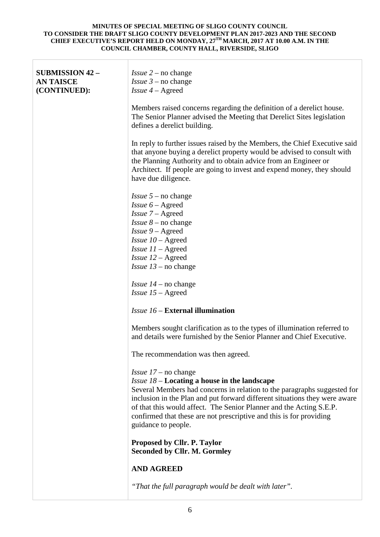| <b>SUBMISSION 42 -</b><br><b>AN TAISCE</b><br>(CONTINUED): | <i>Issue</i> $2$ – no change<br><i>Issue</i> $3$ – no change<br><i>Issue</i> $4 -$ Agreed                                                                                                                                                                                                                                                                                                                                        |
|------------------------------------------------------------|----------------------------------------------------------------------------------------------------------------------------------------------------------------------------------------------------------------------------------------------------------------------------------------------------------------------------------------------------------------------------------------------------------------------------------|
|                                                            | Members raised concerns regarding the definition of a derelict house.<br>The Senior Planner advised the Meeting that Derelict Sites legislation<br>defines a derelict building.                                                                                                                                                                                                                                                  |
|                                                            | In reply to further issues raised by the Members, the Chief Executive said<br>that anyone buying a derelict property would be advised to consult with<br>the Planning Authority and to obtain advice from an Engineer or<br>Architect. If people are going to invest and expend money, they should<br>have due diligence.                                                                                                        |
|                                                            | <i>Issue</i> $5$ – no change<br><i>Issue</i> $6 -$ Agreed<br>$Is5ue$ 7 – Agreed<br><i>Issue</i> $8$ – no change<br>$Is5ue 9 - Agreed$<br><i>Issue</i> $10 -$ Agreed<br><i>Issue</i> $11 -$ Agreed<br><i>Issue</i> $12 -$ Agreed<br><i>Issue</i> $13$ – no change                                                                                                                                                                 |
|                                                            | <i>Issue</i> $14$ – no change<br><i>Issue</i> $15 -$ Agreed                                                                                                                                                                                                                                                                                                                                                                      |
|                                                            | <i>Issue 16 – External illumination</i>                                                                                                                                                                                                                                                                                                                                                                                          |
|                                                            | Members sought clarification as to the types of illumination referred to<br>and details were furnished by the Senior Planner and Chief Executive.                                                                                                                                                                                                                                                                                |
|                                                            | The recommendation was then agreed.                                                                                                                                                                                                                                                                                                                                                                                              |
|                                                            | <i>Issue</i> $17$ – no change<br><i>Issue <math>18</math> – Locating a house in the landscape</i><br>Several Members had concerns in relation to the paragraphs suggested for<br>inclusion in the Plan and put forward different situations they were aware<br>of that this would affect. The Senior Planner and the Acting S.E.P.<br>confirmed that these are not prescriptive and this is for providing<br>guidance to people. |
|                                                            | Proposed by Cllr. P. Taylor<br><b>Seconded by Cllr. M. Gormley</b>                                                                                                                                                                                                                                                                                                                                                               |
|                                                            | <b>AND AGREED</b>                                                                                                                                                                                                                                                                                                                                                                                                                |
|                                                            | "That the full paragraph would be dealt with later".                                                                                                                                                                                                                                                                                                                                                                             |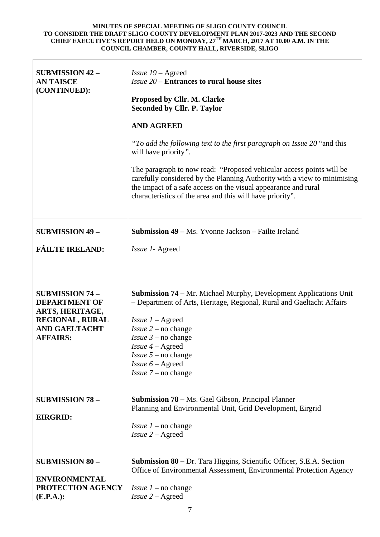| <b>SUBMISSION 42 -</b><br><b>AN TAISCE</b><br>(CONTINUED):                                                                             | $Is5u219 - \text{Agreed}$<br><i>Issue 20</i> – Entrances to rural house sites<br>Proposed by Cllr. M. Clarke<br><b>Seconded by Cllr. P. Taylor</b><br><b>AND AGREED</b><br>"To add the following text to the first paragraph on Issue 20 "and this<br>will have priority".<br>The paragraph to now read: "Proposed vehicular access points will be<br>carefully considered by the Planning Authority with a view to minimising<br>the impact of a safe access on the visual appearance and rural<br>characteristics of the area and this will have priority". |
|----------------------------------------------------------------------------------------------------------------------------------------|---------------------------------------------------------------------------------------------------------------------------------------------------------------------------------------------------------------------------------------------------------------------------------------------------------------------------------------------------------------------------------------------------------------------------------------------------------------------------------------------------------------------------------------------------------------|
| <b>SUBMISSION 49 -</b>                                                                                                                 | <b>Submission 49 – Ms. Yvonne Jackson – Failte Ireland</b>                                                                                                                                                                                                                                                                                                                                                                                                                                                                                                    |
| <b>FÁILTE IRELAND:</b>                                                                                                                 | <i>Issue 1-Agreed</i>                                                                                                                                                                                                                                                                                                                                                                                                                                                                                                                                         |
| <b>SUBMISSION 74 -</b><br><b>DEPARTMENT OF</b><br>ARTS, HERITAGE,<br><b>REGIONAL, RURAL</b><br><b>AND GAELTACHT</b><br><b>AFFAIRS:</b> | <b>Submission 74 – Mr. Michael Murphy, Development Applications Unit</b><br>- Department of Arts, Heritage, Regional, Rural and Gaeltacht Affairs<br>$I$ ssue $I -$ Agreed<br><i>Issue</i> $2$ – no change<br><i>Issue</i> $3$ – no change<br><i>Issue <math>4</math> – Agreed</i><br><i>Issue</i> $5$ – no change<br><i>Issue</i> $6 -$ Agreed<br><i>Issue</i> $7$ – no change                                                                                                                                                                               |
| <b>SUBMISSION 78 -</b><br><b>EIRGRID:</b>                                                                                              | <b>Submission 78 – Ms. Gael Gibson, Principal Planner</b><br>Planning and Environmental Unit, Grid Development, Eirgrid<br><i>Issue 1</i> – no change<br>$Issue 2 - Agreed$                                                                                                                                                                                                                                                                                                                                                                                   |
| <b>SUBMISSION 80 -</b><br><b>ENVIRONMENTAL</b><br>PROTECTION AGENCY<br>$(E.P.A.)$ :                                                    | <b>Submission 80</b> – Dr. Tara Higgins, Scientific Officer, S.E.A. Section<br>Office of Environmental Assessment, Environmental Protection Agency<br><i>Issue</i> $1$ – no change<br>$Is5u2 - Agreed$                                                                                                                                                                                                                                                                                                                                                        |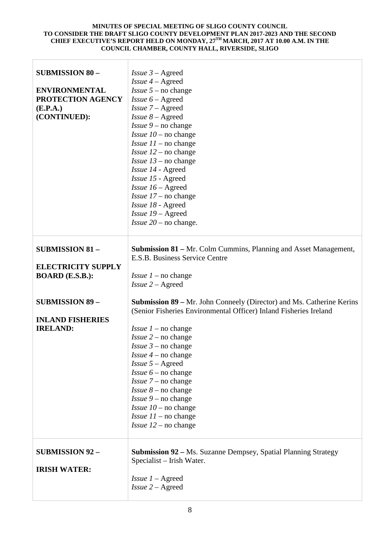т

| <b>SUBMISSION 80 -</b><br><b>ENVIRONMENTAL</b><br>PROTECTION AGENCY<br>(E.P.A.)<br>(CONTINUED): | <i>Issue</i> $3 -$ Agreed<br><i>Issue</i> $4 -$ Agreed<br><i>Issue</i> $5$ – no change<br><i>Issue</i> $6 -$ Agreed<br>$Issue 7 - Agreed$<br>$Is5ue 8 - Agreed$<br><i>Issue</i> $9$ – no change<br><i>Issue</i> $10$ – no change<br><i>Issue</i> $11$ – no change<br><i>Issue</i> $12$ – no change<br><i>Issue</i> $13$ – no change<br>Issue 14 - Agreed<br>Issue 15 - Agreed<br><i>Issue</i> $16 -$ Agreed<br><i>Issue</i> $17$ – no change<br>Issue 18 - Agreed<br>$Is5ue 19 - Agreed$<br><i>Issue</i> $20$ – no change. |
|-------------------------------------------------------------------------------------------------|----------------------------------------------------------------------------------------------------------------------------------------------------------------------------------------------------------------------------------------------------------------------------------------------------------------------------------------------------------------------------------------------------------------------------------------------------------------------------------------------------------------------------|
| <b>SUBMISSION 81 -</b><br><b>ELECTRICITY SUPPLY</b>                                             | <b>Submission 81 – Mr. Colm Cummins, Planning and Asset Management,</b><br>E.S.B. Business Service Centre                                                                                                                                                                                                                                                                                                                                                                                                                  |
| <b>BOARD</b> (E.S.B.):                                                                          | <i>Issue 1</i> – no change<br>$Is3 = 2 - A3$                                                                                                                                                                                                                                                                                                                                                                                                                                                                               |
| <b>SUBMISSION 89 -</b>                                                                          | <b>Submission 89 – Mr. John Conneely (Director) and Ms. Catherine Kerins</b><br>(Senior Fisheries Environmental Officer) Inland Fisheries Ireland                                                                                                                                                                                                                                                                                                                                                                          |
| <b>INLAND FISHERIES</b><br><b>IRELAND:</b>                                                      |                                                                                                                                                                                                                                                                                                                                                                                                                                                                                                                            |
|                                                                                                 | <i>Issue 1</i> – no change<br><i>Issue</i> $2$ – no change                                                                                                                                                                                                                                                                                                                                                                                                                                                                 |
|                                                                                                 | <i>Issue</i> $3$ – no change                                                                                                                                                                                                                                                                                                                                                                                                                                                                                               |
|                                                                                                 | <i>Issue</i> $4$ – no change                                                                                                                                                                                                                                                                                                                                                                                                                                                                                               |
|                                                                                                 | $Is5 - Agreed$                                                                                                                                                                                                                                                                                                                                                                                                                                                                                                             |
|                                                                                                 | <i>Issue</i> $6$ – no change                                                                                                                                                                                                                                                                                                                                                                                                                                                                                               |
|                                                                                                 | <i>Issue</i> $7$ – no change                                                                                                                                                                                                                                                                                                                                                                                                                                                                                               |
|                                                                                                 | <i>Issue</i> $8$ – no change<br><i>Issue</i> $9$ – no change                                                                                                                                                                                                                                                                                                                                                                                                                                                               |
|                                                                                                 | <i>Issue</i> $10$ – no change                                                                                                                                                                                                                                                                                                                                                                                                                                                                                              |
|                                                                                                 | <i>Issue</i> $11$ – no change                                                                                                                                                                                                                                                                                                                                                                                                                                                                                              |
|                                                                                                 | <i>Issue</i> $12$ – no change                                                                                                                                                                                                                                                                                                                                                                                                                                                                                              |
| <b>SUBMISSION 92 -</b><br><b>IRISH WATER:</b>                                                   | <b>Submission 92 – Ms. Suzanne Dempsey, Spatial Planning Strategy</b><br>Specialist - Irish Water.                                                                                                                                                                                                                                                                                                                                                                                                                         |
|                                                                                                 | <i>Issue</i> $1 -$ Agreed<br>$Is3 = 2 - A3$                                                                                                                                                                                                                                                                                                                                                                                                                                                                                |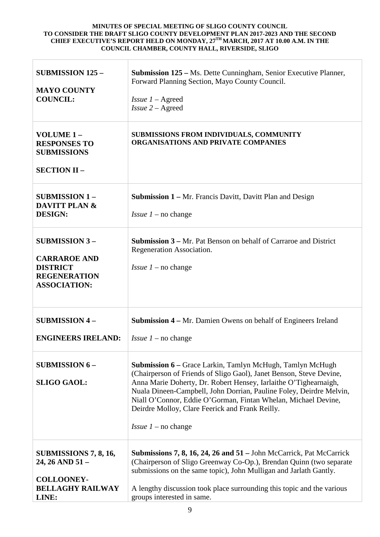| <b>SUBMISSION 125 -</b><br><b>MAYO COUNTY</b><br><b>COUNCIL:</b>                                             | Submission 125 - Ms. Dette Cunningham, Senior Executive Planner,<br>Forward Planning Section, Mayo County Council.<br><i>Issue</i> $1 -$ Agreed<br>$Is3 = 2 - A3$                                                                                                                                                                                                                                                                     |
|--------------------------------------------------------------------------------------------------------------|---------------------------------------------------------------------------------------------------------------------------------------------------------------------------------------------------------------------------------------------------------------------------------------------------------------------------------------------------------------------------------------------------------------------------------------|
| VOLUME 1-<br><b>RESPONSES TO</b><br><b>SUBMISSIONS</b><br><b>SECTION II -</b>                                | SUBMISSIONS FROM INDIVIDUALS, COMMUNITY<br>ORGANISATIONS AND PRIVATE COMPANIES                                                                                                                                                                                                                                                                                                                                                        |
| <b>SUBMISSION 1-</b><br><b>DAVITT PLAN &amp;</b><br><b>DESIGN:</b>                                           | <b>Submission 1 – Mr. Francis Davitt, Davitt Plan and Design</b><br><i>Issue</i> $1$ – no change                                                                                                                                                                                                                                                                                                                                      |
| <b>SUBMISSION 3-</b><br><b>CARRAROE AND</b><br><b>DISTRICT</b><br><b>REGENERATION</b><br><b>ASSOCIATION:</b> | <b>Submission 3 – Mr. Pat Benson on behalf of Carraroe and District</b><br>Regeneration Association.<br><i>Issue 1</i> – no change                                                                                                                                                                                                                                                                                                    |
| <b>SUBMISSION 4-</b><br><b>ENGINEERS IRELAND:</b>                                                            | <b>Submission 4 – Mr. Damien Owens on behalf of Engineers Ireland</b><br><i>Issue 1</i> – no change                                                                                                                                                                                                                                                                                                                                   |
| <b>SUBMISSION 6 -</b><br><b>SLIGO GAOL:</b>                                                                  | <b>Submission 6</b> – Grace Larkin, Tamlyn McHugh, Tamlyn McHugh<br>(Chairperson of Friends of Sligo Gaol), Janet Benson, Steve Devine,<br>Anna Marie Doherty, Dr. Robert Hensey, Iarlaithe O'Tighearnaigh,<br>Nuala Dineen-Campbell, John Dorrian, Pauline Foley, Deirdre Melvin,<br>Niall O'Connor, Eddie O'Gorman, Fintan Whelan, Michael Devine,<br>Deirdre Molloy, Clare Feerick and Frank Reilly.<br><i>Issue 1</i> – no change |
| <b>SUBMISSIONS 7, 8, 16,</b><br>24, 26 AND 51 -<br><b>COLLOONEY-</b><br><b>BELLAGHY RAILWAY</b><br>LINE:     | <b>Submissions 7, 8, 16, 24, 26 and 51</b> – John McCarrick, Pat McCarrick<br>(Chairperson of Sligo Greenway Co-Op.), Brendan Quinn (two separate<br>submissions on the same topic), John Mulligan and Jarlath Gantly.<br>A lengthy discussion took place surrounding this topic and the various<br>groups interested in same.                                                                                                        |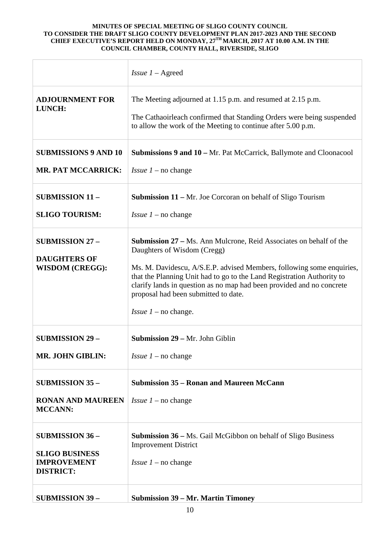|                                                                         | <i>Issue</i> $1 -$ Agreed                                                                                                                                                                                                                                                                                                                                                                                   |
|-------------------------------------------------------------------------|-------------------------------------------------------------------------------------------------------------------------------------------------------------------------------------------------------------------------------------------------------------------------------------------------------------------------------------------------------------------------------------------------------------|
| <b>ADJOURNMENT FOR</b><br>LUNCH:                                        | The Meeting adjourned at 1.15 p.m. and resumed at 2.15 p.m.<br>The Cathaoirleach confirmed that Standing Orders were being suspended<br>to allow the work of the Meeting to continue after 5.00 p.m.                                                                                                                                                                                                        |
| <b>SUBMISSIONS 9 AND 10</b>                                             | <b>Submissions 9 and 10 – Mr. Pat McCarrick, Ballymote and Cloonacool</b>                                                                                                                                                                                                                                                                                                                                   |
| <b>MR. PAT MCCARRICK:</b>                                               | <i>Issue 1</i> – no change                                                                                                                                                                                                                                                                                                                                                                                  |
| <b>SUBMISSION 11-</b>                                                   | <b>Submission 11 – Mr. Joe Corcoran on behalf of Sligo Tourism</b>                                                                                                                                                                                                                                                                                                                                          |
| <b>SLIGO TOURISM:</b>                                                   | <i>Issue 1</i> – no change                                                                                                                                                                                                                                                                                                                                                                                  |
| <b>SUBMISSION 27 -</b><br><b>DAUGHTERS OF</b><br><b>WISDOM (CREGG):</b> | <b>Submission 27 – Ms. Ann Mulcrone, Reid Associates on behalf of the</b><br>Daughters of Wisdom (Cregg)<br>Ms. M. Davidescu, A/S.E.P. advised Members, following some enquiries,<br>that the Planning Unit had to go to the Land Registration Authority to<br>clarify lands in question as no map had been provided and no concrete<br>proposal had been submitted to date.<br><i>Issue 1</i> – no change. |
| <b>SUBMISSION 29-</b>                                                   | Submission 29 - Mr. John Giblin                                                                                                                                                                                                                                                                                                                                                                             |
| <b>MR. JOHN GIBLIN:</b>                                                 | <i>Issue 1</i> – no change                                                                                                                                                                                                                                                                                                                                                                                  |
| <b>SUBMISSION 35 -</b>                                                  | <b>Submission 35 – Ronan and Maureen McCann</b>                                                                                                                                                                                                                                                                                                                                                             |
| <b>RONAN AND MAUREEN</b><br><b>MCCANN:</b>                              | <i>Issue 1</i> – no change                                                                                                                                                                                                                                                                                                                                                                                  |
| <b>SUBMISSION 36 -</b>                                                  | <b>Submission 36 – Ms. Gail McGibbon on behalf of Sligo Business</b><br><b>Improvement District</b>                                                                                                                                                                                                                                                                                                         |
| <b>SLIGO BUSINESS</b><br><b>IMPROVEMENT</b><br><b>DISTRICT:</b>         | <i>Issue</i> $1$ – no change                                                                                                                                                                                                                                                                                                                                                                                |
| <b>SUBMISSION 39 -</b>                                                  | <b>Submission 39 – Mr. Martin Timoney</b>                                                                                                                                                                                                                                                                                                                                                                   |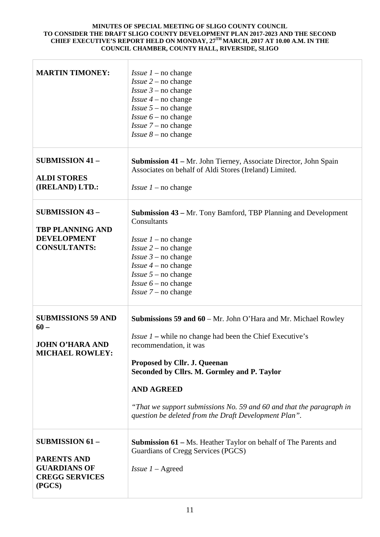| <b>MARTIN TIMONEY:</b>                                                                                 | <i>Issue 1</i> – no change<br><i>Issue</i> $2$ – no change<br><i>Issue</i> $3$ – no change<br><i>Issue</i> $4$ – no change<br><i>Issue</i> $5$ – no change<br><i>Issue</i> $6$ – no change<br><i>Issue</i> $7$ – no change<br><i>Issue</i> $8$ – no change                                                                                                                                       |
|--------------------------------------------------------------------------------------------------------|--------------------------------------------------------------------------------------------------------------------------------------------------------------------------------------------------------------------------------------------------------------------------------------------------------------------------------------------------------------------------------------------------|
| <b>SUBMISSION 41 -</b><br><b>ALDI STORES</b><br>(IRELAND) LTD.:                                        | <b>Submission 41 – Mr. John Tierney, Associate Director, John Spain</b><br>Associates on behalf of Aldi Stores (Ireland) Limited.<br><i>Issue 1</i> – no change                                                                                                                                                                                                                                  |
| <b>SUBMISSION 43 -</b><br><b>TBP PLANNING AND</b><br><b>DEVELOPMENT</b><br><b>CONSULTANTS:</b>         | <b>Submission 43 – Mr.</b> Tony Bamford, TBP Planning and Development<br>Consultants<br><i>Issue</i> $1$ – no change<br><i>Issue</i> $2$ – no change<br><i>Issue</i> $3$ – no change<br><i>Issue</i> $4$ – no change<br><i>Issue</i> $5$ – no change<br><i>Issue</i> $6$ – no change<br><i>Issue</i> $7$ – no change                                                                             |
| <b>SUBMISSIONS 59 AND</b><br>$60 -$<br><b>JOHN O'HARA AND</b><br><b>MICHAEL ROWLEY:</b>                | Submissions 59 and 60 – Mr. John O'Hara and Mr. Michael Rowley<br><i>Issue 1</i> – while no change had been the Chief Executive's<br>recommendation, it was<br>Proposed by Cllr. J. Queenan<br>Seconded by Cllrs. M. Gormley and P. Taylor<br><b>AND AGREED</b><br>"That we support submissions No. 59 and 60 and that the paragraph in<br>question be deleted from the Draft Development Plan". |
| <b>SUBMISSION 61 -</b><br><b>PARENTS AND</b><br><b>GUARDIANS OF</b><br><b>CREGG SERVICES</b><br>(PGCS) | <b>Submission 61</b> – Ms. Heather Taylor on behalf of The Parents and<br>Guardians of Cregg Services (PGCS)<br><i>Issue</i> $1 -$ Agreed                                                                                                                                                                                                                                                        |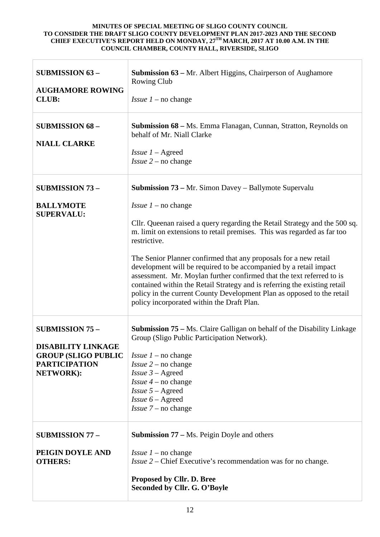| <b>SUBMISSION 63 -</b><br><b>AUGHAMORE ROWING</b><br><b>CLUB:</b>                                                      | Submission 63 - Mr. Albert Higgins, Chairperson of Aughamore<br><b>Rowing Club</b><br><i>Issue 1</i> – no change                                                                                                                                                                                                                                                                                                                                                                                                                                                                                                                                                                      |
|------------------------------------------------------------------------------------------------------------------------|---------------------------------------------------------------------------------------------------------------------------------------------------------------------------------------------------------------------------------------------------------------------------------------------------------------------------------------------------------------------------------------------------------------------------------------------------------------------------------------------------------------------------------------------------------------------------------------------------------------------------------------------------------------------------------------|
| <b>SUBMISSION 68 -</b><br><b>NIALL CLARKE</b>                                                                          | Submission 68 - Ms. Emma Flanagan, Cunnan, Stratton, Reynolds on<br>behalf of Mr. Niall Clarke<br><i>Issue</i> $1 -$ Agreed<br><i>Issue</i> $2$ – no change                                                                                                                                                                                                                                                                                                                                                                                                                                                                                                                           |
| <b>SUBMISSION 73 -</b><br><b>BALLYMOTE</b><br><b>SUPERVALU:</b>                                                        | Submission 73 - Mr. Simon Davey - Ballymote Supervalu<br><i>Issue</i> $1$ – no change<br>Cllr. Queenan raised a query regarding the Retail Strategy and the 500 sq.<br>m. limit on extensions to retail premises. This was regarded as far too<br>restrictive.<br>The Senior Planner confirmed that any proposals for a new retail<br>development will be required to be accompanied by a retail impact<br>assessment. Mr. Moylan further confirmed that the text referred to is<br>contained within the Retail Strategy and is referring the existing retail<br>policy in the current County Development Plan as opposed to the retail<br>policy incorporated within the Draft Plan. |
| <b>SUBMISSION 75 -</b><br><b>DISABILITY LINKAGE</b><br><b>GROUP (SLIGO PUBLIC</b><br><b>PARTICIPATION</b><br>NETWORK): | Submission 75 - Ms. Claire Galligan on behalf of the Disability Linkage<br>Group (Sligo Public Participation Network).<br><i>Issue 1</i> – no change<br>$Issue$ 2 – no change<br><i>Issue</i> $3 -$ Agreed<br><i>Issue 4</i> – no change<br>$Is5 - Agreed$<br><i>Issue</i> $6 -$ Agreed<br>$Issue 7$ – no change                                                                                                                                                                                                                                                                                                                                                                      |
| <b>SUBMISSION 77 -</b><br>PEIGIN DOYLE AND<br><b>OTHERS:</b>                                                           | <b>Submission 77 – Ms. Peigin Doyle and others</b><br><i>Issue 1</i> – no change<br><i>Issue 2 – Chief Executive's recommendation was for no change.</i><br>Proposed by Cllr. D. Bree<br>Seconded by Cllr. G. O'Boyle                                                                                                                                                                                                                                                                                                                                                                                                                                                                 |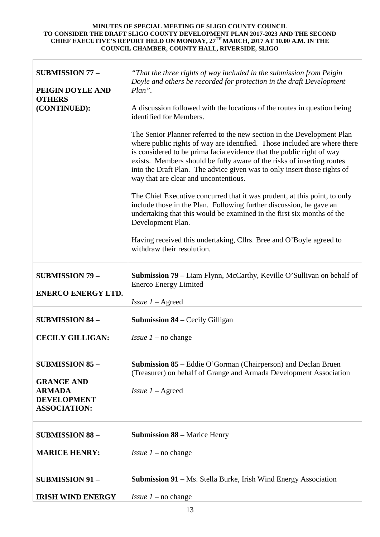| <b>SUBMISSION 77 -</b><br>PEIGIN DOYLE AND<br><b>OTHERS</b><br>(CONTINUED):                               | "That the three rights of way included in the submission from Peigin<br>Doyle and others be recorded for protection in the draft Development<br>Plan".<br>A discussion followed with the locations of the routes in question being<br>identified for Members.<br>The Senior Planner referred to the new section in the Development Plan<br>where public rights of way are identified. Those included are where there<br>is considered to be prima facia evidence that the public right of way<br>exists. Members should be fully aware of the risks of inserting routes<br>into the Draft Plan. The advice given was to only insert those rights of<br>way that are clear and uncontentious.<br>The Chief Executive concurred that it was prudent, at this point, to only<br>include those in the Plan. Following further discussion, he gave an<br>undertaking that this would be examined in the first six months of the<br>Development Plan.<br>Having received this undertaking, Cllrs. Bree and O'Boyle agreed to<br>withdraw their resolution. |
|-----------------------------------------------------------------------------------------------------------|------------------------------------------------------------------------------------------------------------------------------------------------------------------------------------------------------------------------------------------------------------------------------------------------------------------------------------------------------------------------------------------------------------------------------------------------------------------------------------------------------------------------------------------------------------------------------------------------------------------------------------------------------------------------------------------------------------------------------------------------------------------------------------------------------------------------------------------------------------------------------------------------------------------------------------------------------------------------------------------------------------------------------------------------------|
| <b>SUBMISSION 79 -</b><br><b>ENERCO ENERGY LTD.</b>                                                       | <b>Submission 79 – Liam Flynn, McCarthy, Keville O'Sullivan on behalf of</b><br><b>Enerco Energy Limited</b><br><i>Issue</i> $1 -$ Agreed                                                                                                                                                                                                                                                                                                                                                                                                                                                                                                                                                                                                                                                                                                                                                                                                                                                                                                            |
| <b>SUBMISSION 84 -</b>                                                                                    | <b>Submission 84 – Cecily Gilligan</b>                                                                                                                                                                                                                                                                                                                                                                                                                                                                                                                                                                                                                                                                                                                                                                                                                                                                                                                                                                                                               |
| <b>CECILY GILLIGAN:</b>                                                                                   | <i>Issue 1</i> – no change                                                                                                                                                                                                                                                                                                                                                                                                                                                                                                                                                                                                                                                                                                                                                                                                                                                                                                                                                                                                                           |
| <b>SUBMISSION 85 -</b><br><b>GRANGE AND</b><br><b>ARMADA</b><br><b>DEVELOPMENT</b><br><b>ASSOCIATION:</b> | <b>Submission 85 – Eddie O'Gorman (Chairperson) and Declan Bruen</b><br>(Treasurer) on behalf of Grange and Armada Development Association<br><i>Issue</i> $1 -$ Agreed                                                                                                                                                                                                                                                                                                                                                                                                                                                                                                                                                                                                                                                                                                                                                                                                                                                                              |
| <b>SUBMISSION 88 -</b>                                                                                    | <b>Submission 88 – Marice Henry</b>                                                                                                                                                                                                                                                                                                                                                                                                                                                                                                                                                                                                                                                                                                                                                                                                                                                                                                                                                                                                                  |
| <b>MARICE HENRY:</b>                                                                                      | <i>Issue 1</i> – no change                                                                                                                                                                                                                                                                                                                                                                                                                                                                                                                                                                                                                                                                                                                                                                                                                                                                                                                                                                                                                           |
| <b>SUBMISSION 91 -</b>                                                                                    | <b>Submission 91</b> – Ms. Stella Burke, Irish Wind Energy Association                                                                                                                                                                                                                                                                                                                                                                                                                                                                                                                                                                                                                                                                                                                                                                                                                                                                                                                                                                               |
| <b>IRISH WIND ENERGY</b>                                                                                  | <i>Issue</i> $1$ – no change                                                                                                                                                                                                                                                                                                                                                                                                                                                                                                                                                                                                                                                                                                                                                                                                                                                                                                                                                                                                                         |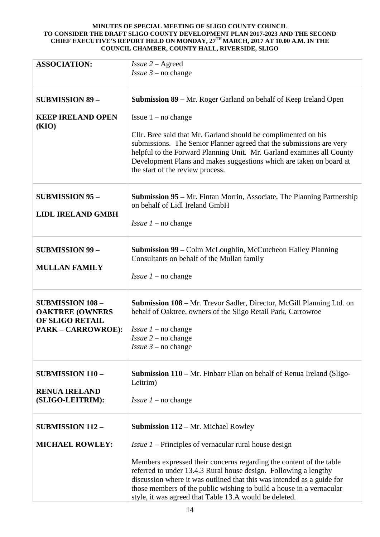| <b>ASSOCIATION:</b>                                                  | $Is5u2 - Agreed$                                                                                                                                                                                                                                                                                                                                    |
|----------------------------------------------------------------------|-----------------------------------------------------------------------------------------------------------------------------------------------------------------------------------------------------------------------------------------------------------------------------------------------------------------------------------------------------|
|                                                                      | <i>Issue</i> $3$ – no change                                                                                                                                                                                                                                                                                                                        |
|                                                                      |                                                                                                                                                                                                                                                                                                                                                     |
| <b>SUBMISSION 89 -</b>                                               | Submission 89 – Mr. Roger Garland on behalf of Keep Ireland Open                                                                                                                                                                                                                                                                                    |
| <b>KEEP IRELAND OPEN</b><br>(KIO)                                    | Issue $1 - no change$                                                                                                                                                                                                                                                                                                                               |
|                                                                      | Cllr. Bree said that Mr. Garland should be complimented on his<br>submissions. The Senior Planner agreed that the submissions are very<br>helpful to the Forward Planning Unit. Mr. Garland examines all County<br>Development Plans and makes suggestions which are taken on board at<br>the start of the review process.                          |
| <b>SUBMISSION 95 -</b><br><b>LIDL IRELAND GMBH</b>                   | <b>Submission 95 – Mr.</b> Fintan Morrin, Associate, The Planning Partnership<br>on behalf of Lidl Ireland GmbH                                                                                                                                                                                                                                     |
|                                                                      | <i>Issue</i> $1$ – no change                                                                                                                                                                                                                                                                                                                        |
|                                                                      |                                                                                                                                                                                                                                                                                                                                                     |
| <b>SUBMISSION 99 -</b>                                               | <b>Submission 99 – Colm McLoughlin, McCutcheon Halley Planning</b><br>Consultants on behalf of the Mullan family                                                                                                                                                                                                                                    |
| <b>MULLAN FAMILY</b>                                                 | <i>Issue 1</i> – no change                                                                                                                                                                                                                                                                                                                          |
| <b>SUBMISSION 108 -</b><br><b>OAKTREE (OWNERS</b><br>OF SLIGO RETAIL | <b>Submission 108 – Mr. Trevor Sadler, Director, McGill Planning Ltd. on</b><br>behalf of Oaktree, owners of the Sligo Retail Park, Carrowroe                                                                                                                                                                                                       |
| <b>PARK - CARROWROE):</b>                                            | <i>Issue</i> $1$ – no change                                                                                                                                                                                                                                                                                                                        |
|                                                                      | <i>Issue</i> $2$ – no change                                                                                                                                                                                                                                                                                                                        |
|                                                                      | <i>Issue</i> $3$ – no change                                                                                                                                                                                                                                                                                                                        |
| <b>SUBMISSION 110 -</b>                                              | <b>Submission 110 – Mr.</b> Finbarr Filan on behalf of Renua Ireland (Sligo-<br>Leitrim)                                                                                                                                                                                                                                                            |
| <b>RENUA IRELAND</b><br>(SLIGO-LEITRIM):                             | <i>Issue 1</i> – no change                                                                                                                                                                                                                                                                                                                          |
|                                                                      |                                                                                                                                                                                                                                                                                                                                                     |
| <b>SUBMISSION 112-</b>                                               | <b>Submission 112 – Mr. Michael Rowley</b>                                                                                                                                                                                                                                                                                                          |
| <b>MICHAEL ROWLEY:</b>                                               | <i>Issue 1</i> – Principles of vernacular rural house design                                                                                                                                                                                                                                                                                        |
|                                                                      | Members expressed their concerns regarding the content of the table<br>referred to under 13.4.3 Rural house design. Following a lengthy<br>discussion where it was outlined that this was intended as a guide for<br>those members of the public wishing to build a house in a vernacular<br>style, it was agreed that Table 13.A would be deleted. |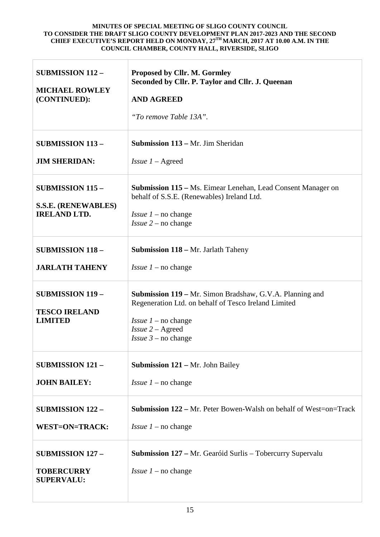| <b>SUBMISSION 112-</b><br><b>MICHAEL ROWLEY</b><br>(CONTINUED):              | Proposed by Cllr. M. Gormley<br>Seconded by Cllr. P. Taylor and Cllr. J. Queenan<br><b>AND AGREED</b><br>"To remove Table 13A".                                                                              |
|------------------------------------------------------------------------------|--------------------------------------------------------------------------------------------------------------------------------------------------------------------------------------------------------------|
| <b>SUBMISSION 113 -</b>                                                      | <b>Submission 113 – Mr. Jim Sheridan</b>                                                                                                                                                                     |
| <b>JIM SHERIDAN:</b>                                                         | <i>Issue</i> $1 -$ Agreed                                                                                                                                                                                    |
| <b>SUBMISSION 115 -</b><br><b>S.S.E. (RENEWABLES)</b><br><b>IRELAND LTD.</b> | <b>Submission 115 – Ms. Eimear Lenehan, Lead Consent Manager on</b><br>behalf of S.S.E. (Renewables) Ireland Ltd.<br><i>Issue 1</i> – no change<br><i>Issue</i> $2$ – no change                              |
| <b>SUBMISSION 118 -</b>                                                      | <b>Submission 118 – Mr. Jarlath Taheny</b>                                                                                                                                                                   |
| <b>JARLATH TAHENY</b>                                                        | <i>Issue 1</i> – no change                                                                                                                                                                                   |
| <b>SUBMISSION 119 -</b><br><b>TESCO IRELAND</b><br><b>LIMITED</b>            | <b>Submission 119 – Mr. Simon Bradshaw, G.V.A. Planning and</b><br>Regeneration Ltd. on behalf of Tesco Ireland Limited<br><i>Issue 1</i> – no change<br>$Is sue 2 - Agreed$<br><i>Issue</i> $3$ – no change |
| <b>SUBMISSION 121-</b>                                                       | <b>Submission 121 – Mr. John Bailey</b>                                                                                                                                                                      |
| <b>JOHN BAILEY:</b>                                                          | <i>Issue 1</i> – no change                                                                                                                                                                                   |
| <b>SUBMISSION 122 -</b>                                                      | <b>Submission 122 – Mr. Peter Bowen-Walsh on behalf of West=on=Track</b>                                                                                                                                     |
| <b>WEST=ON=TRACK:</b>                                                        | <i>Issue 1</i> – no change                                                                                                                                                                                   |
| <b>SUBMISSION 127 -</b><br><b>TOBERCURRY</b><br><b>SUPERVALU:</b>            | <b>Submission 127 – Mr. Gearóid Surlis – Tobercurry Supervalu</b><br><i>Issue 1</i> – no change                                                                                                              |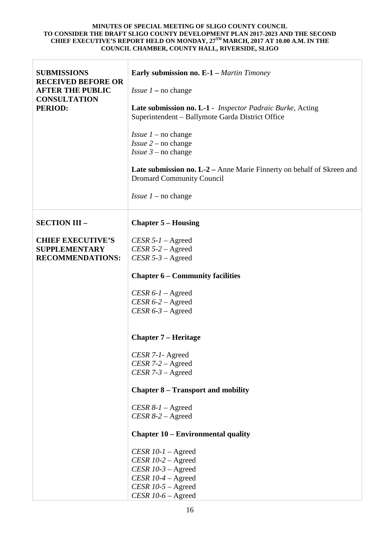| <b>SUBMISSIONS</b>                                                          | <b>Early submission no. E-1</b> – Martin Timoney                                                              |
|-----------------------------------------------------------------------------|---------------------------------------------------------------------------------------------------------------|
| <b>RECEIVED BEFORE OR</b><br><b>AFTER THE PUBLIC</b><br><b>CONSULTATION</b> | <i>Issue 1</i> – no change                                                                                    |
| <b>PERIOD:</b>                                                              | Late submission no. L-1 - Inspector Padraic Burke, Acting<br>Superintendent - Ballymote Garda District Office |
|                                                                             | <i>Issue 1</i> – no change<br><i>Issue</i> $2$ – no change<br><i>Issue</i> $3$ – no change                    |
|                                                                             | Late submission no. L-2 - Anne Marie Finnerty on behalf of Skreen and<br><b>Dromard Community Council</b>     |
|                                                                             | <i>Issue 1</i> – no change                                                                                    |
| <b>SECTION III -</b>                                                        | <b>Chapter 5 – Housing</b>                                                                                    |
| <b>CHIEF EXECUTIVE'S</b>                                                    | $CESR 5-I - Agreed$                                                                                           |
| <b>SUPPLEMENTARY</b>                                                        | $CESR 5-2 - Agreed$                                                                                           |
| <b>RECOMMENDATIONS:</b>                                                     | $CESR 5-3 -$ Agreed                                                                                           |
|                                                                             | <b>Chapter 6 – Community facilities</b>                                                                       |
|                                                                             | CESR $6-I -$ Agreed                                                                                           |
|                                                                             | $CESR 6-2 - Agreed$                                                                                           |
|                                                                             | $CESR 6-3 -$ Agreed                                                                                           |
|                                                                             | <b>Chapter 7 – Heritage</b>                                                                                   |
|                                                                             | CESR 7-1- Agreed                                                                                              |
|                                                                             | $CESR 7-2 - Agreed$                                                                                           |
|                                                                             | CESR $7-3$ – Agreed                                                                                           |
|                                                                             | <b>Chapter 8 – Transport and mobility</b>                                                                     |
|                                                                             | $CESR 8-1 - \text{Agreed}$                                                                                    |
|                                                                             | $CESR 8-2 - Agreed$                                                                                           |
|                                                                             | <b>Chapter 10 – Environmental quality</b>                                                                     |
|                                                                             | CESR $10-1$ – Agreed                                                                                          |
|                                                                             | CESR $10-2$ – Agreed                                                                                          |
|                                                                             | CESR $10-3$ – Agreed                                                                                          |
|                                                                             | CESR $10-4$ – Agreed                                                                                          |
|                                                                             | CESR $10-5$ – Agreed                                                                                          |
|                                                                             | CESR $10-6$ – Agreed                                                                                          |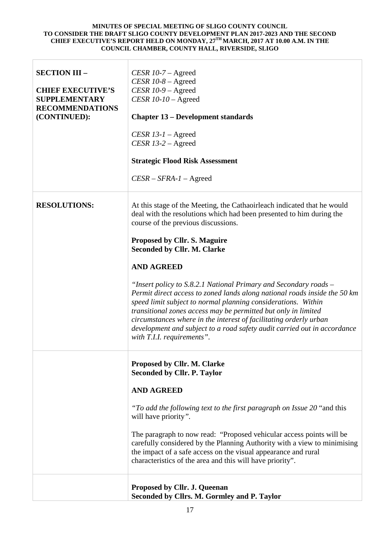| <b>SECTION III -</b><br><b>CHIEF EXECUTIVE'S</b><br><b>SUPPLEMENTARY</b><br><b>RECOMMENDATIONS</b><br>(CONTINUED): | CESR $10-7$ – Agreed<br>CESR $10-8$ – Agreed<br>CESR $10-9$ – Agreed<br>CESR $10-10$ – Agreed<br><b>Chapter 13 – Development standards</b><br>CESR $13-1$ – Agreed<br>CESR $13-2$ – Agreed<br><b>Strategic Flood Risk Assessment</b><br>$CESR - SFRA-1 - \text{Agreed}$                                                                                                                                                                                                                                                                                                                                                                                                                                                                                     |
|--------------------------------------------------------------------------------------------------------------------|-------------------------------------------------------------------------------------------------------------------------------------------------------------------------------------------------------------------------------------------------------------------------------------------------------------------------------------------------------------------------------------------------------------------------------------------------------------------------------------------------------------------------------------------------------------------------------------------------------------------------------------------------------------------------------------------------------------------------------------------------------------|
| <b>RESOLUTIONS:</b>                                                                                                | At this stage of the Meeting, the Cathaoirleach indicated that he would<br>deal with the resolutions which had been presented to him during the<br>course of the previous discussions.<br><b>Proposed by Cllr. S. Maguire</b><br><b>Seconded by Cllr. M. Clarke</b><br><b>AND AGREED</b><br>"Insert policy to S.8.2.1 National Primary and Secondary roads -<br>Permit direct access to zoned lands along national roads inside the 50 km<br>speed limit subject to normal planning considerations. Within<br>transitional zones access may be permitted but only in limited<br>circumstances where in the interest of facilitating orderly urban<br>development and subject to a road safety audit carried out in accordance<br>with T.I.I. requirements". |
|                                                                                                                    | Proposed by Cllr. M. Clarke<br><b>Seconded by Cllr. P. Taylor</b><br><b>AND AGREED</b><br>"To add the following text to the first paragraph on Issue 20 "and this<br>will have priority".<br>The paragraph to now read: "Proposed vehicular access points will be<br>carefully considered by the Planning Authority with a view to minimising<br>the impact of a safe access on the visual appearance and rural<br>characteristics of the area and this will have priority".<br>Proposed by Cllr. J. Queenan<br>Seconded by Cllrs. M. Gormley and P. Taylor                                                                                                                                                                                                 |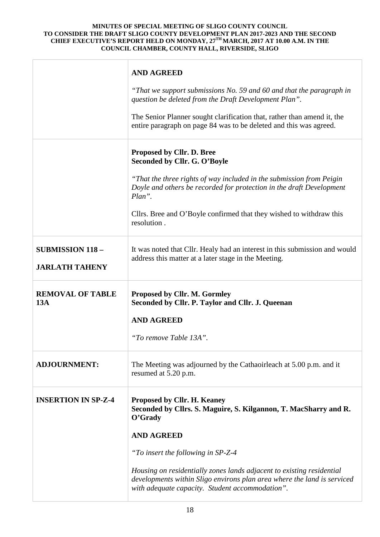|                                                  | <b>AND AGREED</b>                                                                                                                                                                                   |
|--------------------------------------------------|-----------------------------------------------------------------------------------------------------------------------------------------------------------------------------------------------------|
|                                                  | "That we support submissions No. 59 and 60 and that the paragraph in<br>question be deleted from the Draft Development Plan".                                                                       |
|                                                  | The Senior Planner sought clarification that, rather than amend it, the<br>entire paragraph on page 84 was to be deleted and this was agreed.                                                       |
|                                                  | Proposed by Cllr. D. Bree<br>Seconded by Cllr. G. O'Boyle                                                                                                                                           |
|                                                  | "That the three rights of way included in the submission from Peigin<br>Doyle and others be recorded for protection in the draft Development<br>$Plan$ ".                                           |
|                                                  | Cllrs. Bree and O'Boyle confirmed that they wished to withdraw this<br>resolution.                                                                                                                  |
| <b>SUBMISSION 118 -</b><br><b>JARLATH TAHENY</b> | It was noted that Cllr. Healy had an interest in this submission and would<br>address this matter at a later stage in the Meeting.                                                                  |
| <b>REMOVAL OF TABLE</b><br>13A                   | <b>Proposed by Cllr. M. Gormley</b><br>Seconded by Cllr. P. Taylor and Cllr. J. Queenan                                                                                                             |
|                                                  | <b>AND AGREED</b>                                                                                                                                                                                   |
|                                                  | "To remove Table 13A".                                                                                                                                                                              |
| <b>ADJOURNMENT:</b>                              | The Meeting was adjourned by the Cathaoirleach at 5.00 p.m. and it<br>resumed at 5.20 p.m.                                                                                                          |
| <b>INSERTION IN SP-Z-4</b>                       | <b>Proposed by Cllr. H. Keaney</b><br>Seconded by Cllrs. S. Maguire, S. Kilgannon, T. MacSharry and R.<br>O'Grady                                                                                   |
|                                                  | <b>AND AGREED</b>                                                                                                                                                                                   |
|                                                  | "To insert the following in SP-Z-4                                                                                                                                                                  |
|                                                  | Housing on residentially zones lands adjacent to existing residential<br>developments within Sligo environs plan area where the land is serviced<br>with adequate capacity. Student accommodation". |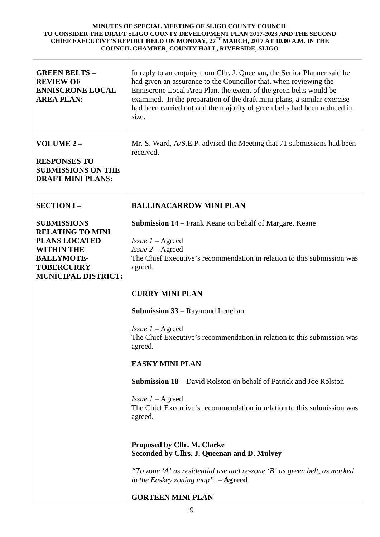| <b>GREEN BELTS-</b><br><b>REVIEW OF</b><br><b>ENNISCRONE LOCAL</b><br><b>AREA PLAN:</b>                                                                            | In reply to an enquiry from Cllr. J. Queenan, the Senior Planner said he<br>had given an assurance to the Councillor that, when reviewing the<br>Enniscrone Local Area Plan, the extent of the green belts would be<br>examined. In the preparation of the draft mini-plans, a similar exercise<br>had been carried out and the majority of green belts had been reduced in<br>size. |
|--------------------------------------------------------------------------------------------------------------------------------------------------------------------|--------------------------------------------------------------------------------------------------------------------------------------------------------------------------------------------------------------------------------------------------------------------------------------------------------------------------------------------------------------------------------------|
| VOLUME 2-<br><b>RESPONSES TO</b><br><b>SUBMISSIONS ON THE</b><br><b>DRAFT MINI PLANS:</b>                                                                          | Mr. S. Ward, A/S.E.P. advised the Meeting that 71 submissions had been<br>received.                                                                                                                                                                                                                                                                                                  |
| <b>SECTION I-</b>                                                                                                                                                  | <b>BALLINACARROW MINI PLAN</b>                                                                                                                                                                                                                                                                                                                                                       |
| <b>SUBMISSIONS</b><br><b>RELATING TO MINI</b><br><b>PLANS LOCATED</b><br><b>WITHIN THE</b><br><b>BALLYMOTE-</b><br><b>TOBERCURRY</b><br><b>MUNICIPAL DISTRICT:</b> | <b>Submission 14 – Frank Keane on behalf of Margaret Keane</b><br><i>Issue</i> $1 -$ Agreed<br>$Is3 = 2 - A3$<br>The Chief Executive's recommendation in relation to this submission was<br>agreed.                                                                                                                                                                                  |
|                                                                                                                                                                    | <b>CURRY MINI PLAN</b>                                                                                                                                                                                                                                                                                                                                                               |
|                                                                                                                                                                    | <b>Submission 33 – Raymond Lenehan</b>                                                                                                                                                                                                                                                                                                                                               |
|                                                                                                                                                                    | <i>Issue</i> $1 -$ Agreed<br>The Chief Executive's recommendation in relation to this submission was<br>agreed.                                                                                                                                                                                                                                                                      |
|                                                                                                                                                                    | <b>EASKY MINI PLAN</b>                                                                                                                                                                                                                                                                                                                                                               |
|                                                                                                                                                                    | <b>Submission 18</b> – David Rolston on behalf of Patrick and Joe Rolston                                                                                                                                                                                                                                                                                                            |
|                                                                                                                                                                    | <i>Issue</i> $1 -$ Agreed<br>The Chief Executive's recommendation in relation to this submission was<br>agreed.                                                                                                                                                                                                                                                                      |
|                                                                                                                                                                    | Proposed by Cllr. M. Clarke<br>Seconded by Cllrs. J. Queenan and D. Mulvey                                                                                                                                                                                                                                                                                                           |
|                                                                                                                                                                    | "To zone 'A' as residential use and re-zone 'B' as green belt, as marked<br>in the Easkey zoning map". $-$ Agreed                                                                                                                                                                                                                                                                    |
|                                                                                                                                                                    | <b>GORTEEN MINI PLAN</b>                                                                                                                                                                                                                                                                                                                                                             |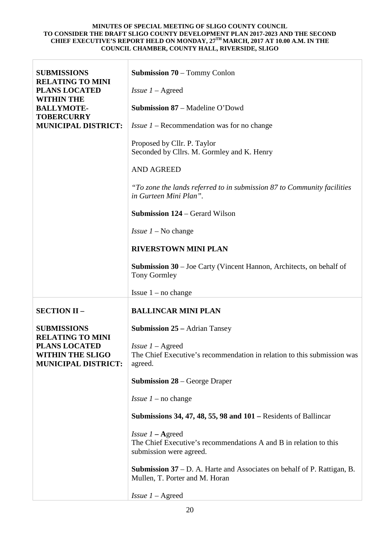| <b>SUBMISSIONS</b>                                                                                       | <b>Submission 70</b> – Tommy Conlon                                                                                       |
|----------------------------------------------------------------------------------------------------------|---------------------------------------------------------------------------------------------------------------------------|
| <b>RELATING TO MINI</b><br><b>PLANS LOCATED</b>                                                          | <i>Issue</i> $1 -$ Agreed                                                                                                 |
| <b>WITHIN THE</b><br><b>BALLYMOTE-</b>                                                                   | <b>Submission 87 – Madeline O'Dowd</b>                                                                                    |
| <b>TOBERCURRY</b><br><b>MUNICIPAL DISTRICT:</b>                                                          | <i>Issue 1</i> – Recommendation was for no change                                                                         |
|                                                                                                          | Proposed by Cllr. P. Taylor<br>Seconded by Cllrs. M. Gormley and K. Henry                                                 |
|                                                                                                          | <b>AND AGREED</b>                                                                                                         |
|                                                                                                          | "To zone the lands referred to in submission 87 to Community facilities"<br>in Gurteen Mini Plan".                        |
|                                                                                                          | <b>Submission 124 – Gerard Wilson</b>                                                                                     |
|                                                                                                          | <i>Issue 1</i> – No change                                                                                                |
|                                                                                                          | <b>RIVERSTOWN MINI PLAN</b>                                                                                               |
|                                                                                                          | <b>Submission 30</b> – Joe Carty (Vincent Hannon, Architects, on behalf of<br><b>Tony Gormley</b>                         |
|                                                                                                          | Issue $1 - no change$                                                                                                     |
| <b>SECTION II -</b>                                                                                      | <b>BALLINCAR MINI PLAN</b>                                                                                                |
| <b>SUBMISSIONS</b>                                                                                       | <b>Submission 25 – Adrian Tansey</b>                                                                                      |
| <b>RELATING TO MINI</b><br><b>PLANS LOCATED</b><br><b>WITHIN THE SLIGO</b><br><b>MUNICIPAL DISTRICT:</b> | Issue $1 -$ Agreed<br>The Chief Executive's recommendation in relation to this submission was<br>agreed.                  |
|                                                                                                          | <b>Submission 28</b> – George Draper                                                                                      |
|                                                                                                          | <i>Issue</i> $1$ – no change                                                                                              |
|                                                                                                          | Submissions 34, 47, 48, 55, 98 and $101$ – Residents of Ballincar                                                         |
|                                                                                                          | Issue $1 -$ <b>Agreed</b><br>The Chief Executive's recommendations A and B in relation to this<br>submission were agreed. |
|                                                                                                          | <b>Submission 37</b> – D. A. Harte and Associates on behalf of P. Rattigan, B.                                            |
|                                                                                                          | Mullen, T. Porter and M. Horan                                                                                            |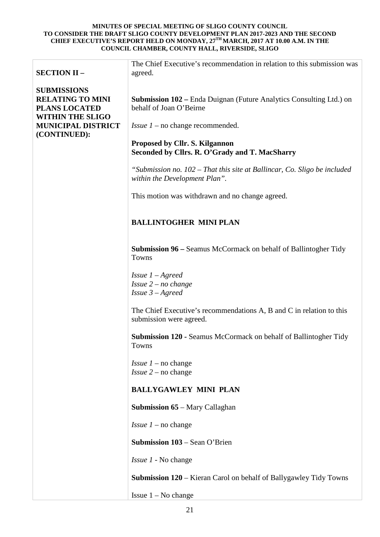| <b>SECTION II -</b>                                                                              | The Chief Executive's recommendation in relation to this submission was<br>agreed.                        |
|--------------------------------------------------------------------------------------------------|-----------------------------------------------------------------------------------------------------------|
| <b>SUBMISSIONS</b><br><b>RELATING TO MINI</b><br><b>PLANS LOCATED</b><br><b>WITHIN THE SLIGO</b> | <b>Submission 102 – Enda Duignan (Future Analytics Consulting Ltd.) on</b><br>behalf of Joan O'Beirne     |
| <b>MUNICIPAL DISTRICT</b><br>(CONTINUED):                                                        | <i>Issue 1</i> – no change recommended.                                                                   |
|                                                                                                  | Proposed by Cllr. S. Kilgannon<br>Seconded by Cllrs. R. O'Grady and T. MacSharry                          |
|                                                                                                  | "Submission no. 102 – That this site at Ballincar, Co. Sligo be included<br>within the Development Plan". |
|                                                                                                  | This motion was withdrawn and no change agreed.                                                           |
|                                                                                                  | <b>BALLINTOGHER MINI PLAN</b>                                                                             |
|                                                                                                  | <b>Submission 96 – Seamus McCormack on behalf of Ballintogher Tidy</b><br>Towns                           |
|                                                                                                  | <i>Issue</i> $1 -$ <i>Agreed</i><br>Issue $2 - no$ change<br>Issue $3 -$ Agreed                           |
|                                                                                                  | The Chief Executive's recommendations A, B and C in relation to this<br>submission were agreed.           |
|                                                                                                  | Submission 120 - Seamus McCormack on behalf of Ballintogher Tidy<br>Towns                                 |
|                                                                                                  | <i>Issue 1</i> – no change<br><i>Issue</i> $2$ – no change                                                |
|                                                                                                  | <b>BALLYGAWLEY MINI PLAN</b>                                                                              |
|                                                                                                  | <b>Submission 65</b> – Mary Callaghan                                                                     |
|                                                                                                  | <i>Issue 1</i> – no change                                                                                |
|                                                                                                  | <b>Submission 103 – Sean O'Brien</b>                                                                      |
|                                                                                                  | <i>Issue 1</i> - No change                                                                                |
|                                                                                                  | <b>Submission 120</b> – Kieran Carol on behalf of Ballygawley Tidy Towns                                  |
|                                                                                                  | Issue $1 - No$ change                                                                                     |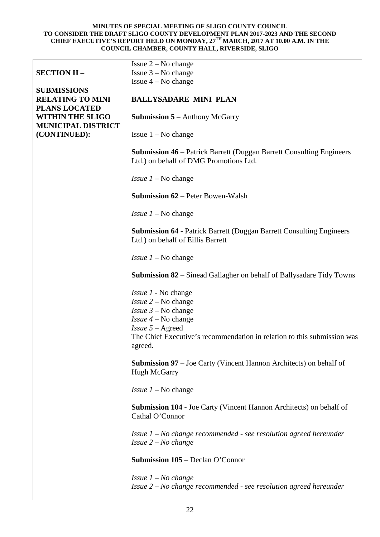|                                                                       | Issue $2 - No$ change                                                                                                 |
|-----------------------------------------------------------------------|-----------------------------------------------------------------------------------------------------------------------|
| <b>SECTION II -</b>                                                   | Issue $3 - No$ change                                                                                                 |
|                                                                       | Issue $4 - No$ change                                                                                                 |
| <b>SUBMISSIONS</b><br><b>RELATING TO MINI</b><br><b>PLANS LOCATED</b> | <b>BALLYSADARE MINI PLAN</b>                                                                                          |
| <b>WITHIN THE SLIGO</b><br><b>MUNICIPAL DISTRICT</b>                  | <b>Submission 5</b> – Anthony McGarry                                                                                 |
| (CONTINUED):                                                          | Issue $1 - No$ change                                                                                                 |
|                                                                       | <b>Submission 46</b> – Patrick Barrett (Duggan Barrett Consulting Engineers<br>Ltd.) on behalf of DMG Promotions Ltd. |
|                                                                       | <i>Issue <math>1 - No</math> change</i>                                                                               |
|                                                                       | <b>Submission 62 – Peter Bowen-Walsh</b>                                                                              |
|                                                                       | <i>Issue 1</i> – No change                                                                                            |
|                                                                       | <b>Submission 64 - Patrick Barrett (Duggan Barrett Consulting Engineers</b><br>Ltd.) on behalf of Eillis Barrett      |
|                                                                       | <i>Issue 1</i> – No change                                                                                            |
|                                                                       | <b>Submission 82</b> – Sinead Gallagher on behalf of Ballysadare Tidy Towns                                           |
|                                                                       | <i>Issue 1</i> - No change                                                                                            |
|                                                                       | <i>Issue</i> $2 - No change$                                                                                          |
|                                                                       | <i>Issue</i> $3 - No change$                                                                                          |
|                                                                       | <i>Issue</i> $4$ – No change                                                                                          |
|                                                                       | $Issue 5 - \text{Agreed}$                                                                                             |
|                                                                       | The Chief Executive's recommendation in relation to this submission was<br>agreed.                                    |
|                                                                       | <b>Submission 97</b> – Joe Carty (Vincent Hannon Architects) on behalf of<br><b>Hugh McGarry</b>                      |
|                                                                       | <i>Issue <math>1 - No</math> change</i>                                                                               |
|                                                                       | <b>Submission 104 - Joe Carty (Vincent Hannon Architects) on behalf of</b><br>Cathal O'Connor                         |
|                                                                       | Issue $1 - No$ change recommended - see resolution agreed hereunder<br>Issue $2 - No$ change                          |
|                                                                       | <b>Submission 105</b> – Declan O'Connor                                                                               |
|                                                                       | <i>Issue <math>1 - No</math> change</i>                                                                               |
|                                                                       | Issue $2 - No$ change recommended - see resolution agreed hereunder                                                   |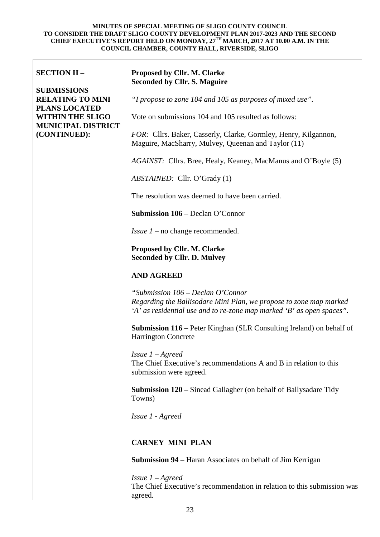| <b>SECTION II -</b>                                                                                                                           | Proposed by Cllr. M. Clarke<br><b>Seconded by Cllr. S. Maguire</b>                                                                                                               |
|-----------------------------------------------------------------------------------------------------------------------------------------------|----------------------------------------------------------------------------------------------------------------------------------------------------------------------------------|
| <b>SUBMISSIONS</b><br><b>RELATING TO MINI</b><br><b>PLANS LOCATED</b><br><b>WITHIN THE SLIGO</b><br><b>MUNICIPAL DISTRICT</b><br>(CONTINUED): | "I propose to zone 104 and 105 as purposes of mixed use".                                                                                                                        |
|                                                                                                                                               | Vote on submissions 104 and 105 resulted as follows:                                                                                                                             |
|                                                                                                                                               | FOR: Cllrs. Baker, Casserly, Clarke, Gormley, Henry, Kilgannon,<br>Maguire, MacSharry, Mulvey, Queenan and Taylor (11)                                                           |
|                                                                                                                                               | <i>AGAINST:</i> Cllrs. Bree, Healy, Keaney, MacManus and O'Boyle (5)                                                                                                             |
|                                                                                                                                               | ABSTAINED: Cllr. O'Grady (1)                                                                                                                                                     |
|                                                                                                                                               | The resolution was deemed to have been carried.                                                                                                                                  |
|                                                                                                                                               | <b>Submission 106 – Declan O'Connor</b>                                                                                                                                          |
|                                                                                                                                               | <i>Issue <math>1</math> – no change recommended.</i>                                                                                                                             |
|                                                                                                                                               | Proposed by Cllr. M. Clarke<br><b>Seconded by Cllr. D. Mulvey</b>                                                                                                                |
|                                                                                                                                               | <b>AND AGREED</b>                                                                                                                                                                |
|                                                                                                                                               | "Submission 106 – Declan O'Connor<br>Regarding the Ballisodare Mini Plan, we propose to zone map marked<br>'A' as residential use and to re-zone map marked 'B' as open spaces". |
|                                                                                                                                               | <b>Submission 116 – Peter Kinghan (SLR Consulting Ireland) on behalf of</b><br><b>Harrington Concrete</b>                                                                        |
|                                                                                                                                               | <i>Issue</i> $1 -$ <i>Agreed</i><br>The Chief Executive's recommendations A and B in relation to this<br>submission were agreed.                                                 |
|                                                                                                                                               | <b>Submission 120</b> – Sinead Gallagher (on behalf of Ballysadare Tidy<br>Towns)                                                                                                |
|                                                                                                                                               | Issue 1 - Agreed                                                                                                                                                                 |
|                                                                                                                                               | <b>CARNEY MINI PLAN</b>                                                                                                                                                          |
|                                                                                                                                               | <b>Submission 94</b> – Haran Associates on behalf of Jim Kerrigan                                                                                                                |
|                                                                                                                                               | <i>Issue</i> $1 -$ <i>Agreed</i><br>The Chief Executive's recommendation in relation to this submission was<br>agreed.                                                           |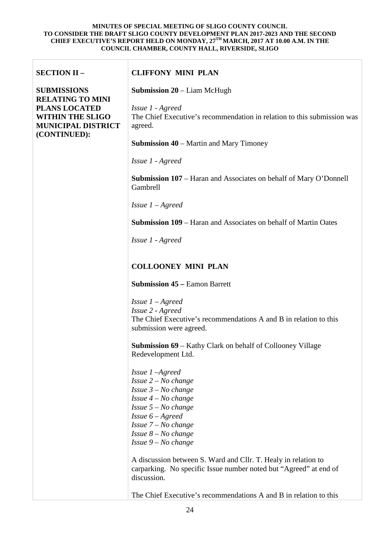| <b>SECTION II -</b>                                                                                     | <b>CLIFFONY MINI PLAN</b>                                                                                                                                                                                                                                                                                                                                                       |
|---------------------------------------------------------------------------------------------------------|---------------------------------------------------------------------------------------------------------------------------------------------------------------------------------------------------------------------------------------------------------------------------------------------------------------------------------------------------------------------------------|
| <b>SUBMISSIONS</b>                                                                                      | <b>Submission 20</b> – Liam McHugh                                                                                                                                                                                                                                                                                                                                              |
| <b>RELATING TO MINI</b><br><b>PLANS LOCATED</b><br><b>WITHIN THE SLIGO</b><br><b>MUNICIPAL DISTRICT</b> | Issue 1 - Agreed<br>The Chief Executive's recommendation in relation to this submission was<br>agreed.                                                                                                                                                                                                                                                                          |
| (CONTINUED):                                                                                            | <b>Submission 40</b> – Martin and Mary Timoney                                                                                                                                                                                                                                                                                                                                  |
|                                                                                                         | Issue 1 - Agreed                                                                                                                                                                                                                                                                                                                                                                |
|                                                                                                         | <b>Submission 107</b> – Haran and Associates on behalf of Mary O'Donnell<br>Gambrell                                                                                                                                                                                                                                                                                            |
|                                                                                                         | <i>Issue</i> $1 - A$ <i>greed</i>                                                                                                                                                                                                                                                                                                                                               |
|                                                                                                         | <b>Submission 109</b> – Haran and Associates on behalf of Martin Oates                                                                                                                                                                                                                                                                                                          |
|                                                                                                         | Issue 1 - Agreed                                                                                                                                                                                                                                                                                                                                                                |
|                                                                                                         |                                                                                                                                                                                                                                                                                                                                                                                 |
|                                                                                                         | <b>COLLOONEY MINI PLAN</b>                                                                                                                                                                                                                                                                                                                                                      |
|                                                                                                         | <b>Submission 45 – Eamon Barrett</b>                                                                                                                                                                                                                                                                                                                                            |
|                                                                                                         | <i>Issue</i> $1 -$ <i>Agreed</i>                                                                                                                                                                                                                                                                                                                                                |
|                                                                                                         | Issue 2 - Agreed<br>The Chief Executive's recommendations A and B in relation to this<br>submission were agreed.                                                                                                                                                                                                                                                                |
|                                                                                                         | <b>Submission 69</b> – Kathy Clark on behalf of Collooney Village<br>Redevelopment Ltd.                                                                                                                                                                                                                                                                                         |
|                                                                                                         | Issue $1$ $-A$ greed<br><i>Issue</i> $2 - No$ <i>change</i><br><i>Issue</i> $3 - No$ <i>change</i><br><i>Issue</i> $4 - No$ <i>change</i><br><i>Issue</i> $5 - No$ <i>change</i><br>Issue $6 -$ Agreed<br><i>Issue</i> $7 - No$ <i>change</i><br><i>Issue</i> $8 - No$ <i>change</i><br>Issue $9 - No$ change<br>A discussion between S. Ward and Cllr. T. Healy in relation to |
|                                                                                                         | carparking. No specific Issue number noted but "Agreed" at end of<br>discussion.                                                                                                                                                                                                                                                                                                |
|                                                                                                         | The Chief Executive's recommendations A and B in relation to this                                                                                                                                                                                                                                                                                                               |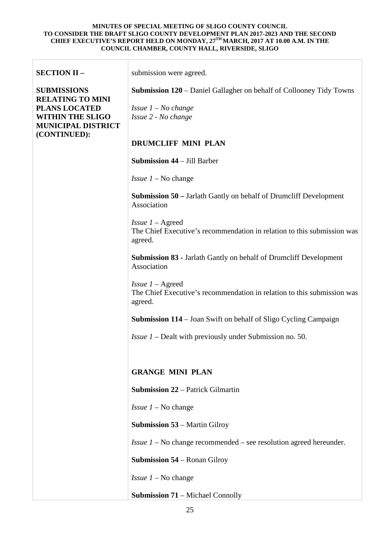| <b>SECTION II -</b>                                                                                     | submission were agreed.                                                                                         |
|---------------------------------------------------------------------------------------------------------|-----------------------------------------------------------------------------------------------------------------|
| <b>SUBMISSIONS</b>                                                                                      | <b>Submission 120</b> – Daniel Gallagher on behalf of Collooney Tidy Towns                                      |
| <b>RELATING TO MINI</b><br><b>PLANS LOCATED</b><br><b>WITHIN THE SLIGO</b><br><b>MUNICIPAL DISTRICT</b> | <i>Issue <math>1 - No</math> change</i><br>Issue 2 - No change                                                  |
| (CONTINUED):                                                                                            | <b>DRUMCLIFF MINI PLAN</b>                                                                                      |
|                                                                                                         | <b>Submission 44 – Jill Barber</b>                                                                              |
|                                                                                                         | <i>Issue <math>1 - No</math> change</i>                                                                         |
|                                                                                                         | <b>Submission 50</b> – Jarlath Gantly on behalf of Drumcliff Development<br>Association                         |
|                                                                                                         | <i>Issue</i> $1 -$ Agreed<br>The Chief Executive's recommendation in relation to this submission was<br>agreed. |
|                                                                                                         | <b>Submission 83 - Jarlath Gantly on behalf of Drumcliff Development</b><br>Association                         |
|                                                                                                         | <i>Issue</i> $1 -$ Agreed<br>The Chief Executive's recommendation in relation to this submission was<br>agreed. |
|                                                                                                         | <b>Submission 114</b> – Joan Swift on behalf of Sligo Cycling Campaign                                          |
|                                                                                                         | <i>Issue 1</i> – Dealt with previously under Submission no. 50.                                                 |
|                                                                                                         |                                                                                                                 |
|                                                                                                         | <b>GRANGE MINI PLAN</b>                                                                                         |
|                                                                                                         | <b>Submission 22 – Patrick Gilmartin</b>                                                                        |
|                                                                                                         | <i>Issue <math>1 - No</math> change</i>                                                                         |
|                                                                                                         | <b>Submission 53 – Martin Gilroy</b>                                                                            |
|                                                                                                         | <i>Issue 1</i> – No change recommended – see resolution agreed hereunder.                                       |
|                                                                                                         | <b>Submission 54</b> – Ronan Gilroy                                                                             |
|                                                                                                         | <i>Issue <math>1 - No</math> change</i>                                                                         |
|                                                                                                         | <b>Submission 71</b> – Michael Connolly                                                                         |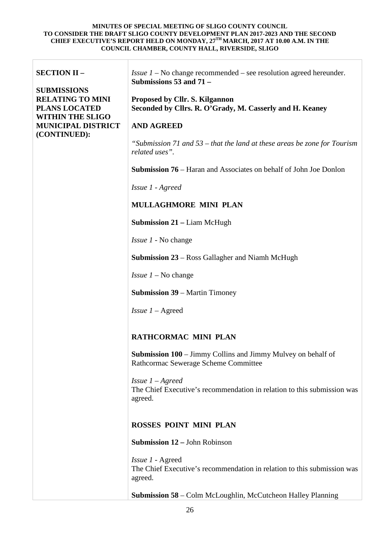| <b>SECTION II -</b><br><b>SUBMISSIONS</b><br><b>RELATING TO MINI</b><br><b>PLANS LOCATED</b><br><b>WITHIN THE SLIGO</b><br><b>MUNICIPAL DISTRICT</b><br>(CONTINUED): | <i>Issue 1</i> – No change recommended – see resolution agreed hereunder.<br>Submissions 53 and 71 -<br>Proposed by Cllr. S. Kilgannon<br>Seconded by Cllrs. R. O'Grady, M. Casserly and H. Keaney<br><b>AND AGREED</b><br>"Submission 71 and 53 – that the land at these areas be zone for Tourism<br>related uses". |
|----------------------------------------------------------------------------------------------------------------------------------------------------------------------|-----------------------------------------------------------------------------------------------------------------------------------------------------------------------------------------------------------------------------------------------------------------------------------------------------------------------|
|                                                                                                                                                                      | <b>Submission 76</b> – Haran and Associates on behalf of John Joe Donlon                                                                                                                                                                                                                                              |
|                                                                                                                                                                      | Issue 1 - Agreed                                                                                                                                                                                                                                                                                                      |
|                                                                                                                                                                      | <b>MULLAGHMORE MINI PLAN</b>                                                                                                                                                                                                                                                                                          |
|                                                                                                                                                                      | <b>Submission 21 – Liam McHugh</b>                                                                                                                                                                                                                                                                                    |
|                                                                                                                                                                      | <i>Issue 1</i> - No change                                                                                                                                                                                                                                                                                            |
|                                                                                                                                                                      | <b>Submission 23</b> – Ross Gallagher and Niamh McHugh                                                                                                                                                                                                                                                                |
|                                                                                                                                                                      | <i>Issue <math>1 - No</math> change</i>                                                                                                                                                                                                                                                                               |
|                                                                                                                                                                      | <b>Submission 39 – Martin Timoney</b>                                                                                                                                                                                                                                                                                 |
|                                                                                                                                                                      | <i>Issue</i> $1 -$ Agreed                                                                                                                                                                                                                                                                                             |
|                                                                                                                                                                      | RATHCORMAC MINI PLAN                                                                                                                                                                                                                                                                                                  |
|                                                                                                                                                                      | <b>Submission 100</b> – Jimmy Collins and Jimmy Mulvey on behalf of<br>Rathcormac Sewerage Scheme Committee                                                                                                                                                                                                           |
|                                                                                                                                                                      | <i>Issue</i> $1 -$ <i>Agreed</i><br>The Chief Executive's recommendation in relation to this submission was<br>agreed.                                                                                                                                                                                                |
|                                                                                                                                                                      | <b>ROSSES POINT MINI PLAN</b>                                                                                                                                                                                                                                                                                         |
|                                                                                                                                                                      | <b>Submission 12 – John Robinson</b>                                                                                                                                                                                                                                                                                  |
|                                                                                                                                                                      | <i>Issue 1 - Agreed</i><br>The Chief Executive's recommendation in relation to this submission was<br>agreed.                                                                                                                                                                                                         |
|                                                                                                                                                                      | <b>Submission 58</b> – Colm McLoughlin, McCutcheon Halley Planning                                                                                                                                                                                                                                                    |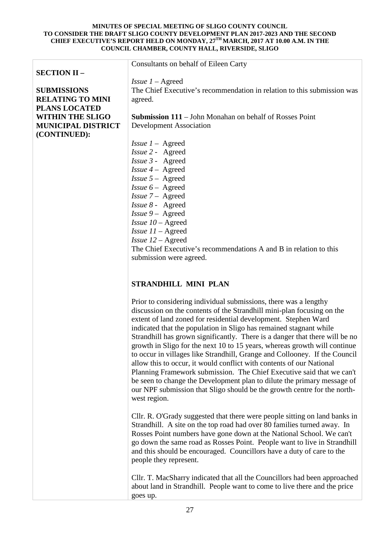|                           | Consultants on behalf of Eileen Carty                                   |
|---------------------------|-------------------------------------------------------------------------|
| <b>SECTION II -</b>       |                                                                         |
|                           | <i>Issue</i> $1 -$ Agreed                                               |
| <b>SUBMISSIONS</b>        | The Chief Executive's recommendation in relation to this submission was |
| <b>RELATING TO MINI</b>   | agreed.                                                                 |
| <b>PLANS LOCATED</b>      |                                                                         |
| <b>WITHIN THE SLIGO</b>   | <b>Submission 111</b> – John Monahan on behalf of Rosses Point          |
| <b>MUNICIPAL DISTRICT</b> | <b>Development Association</b>                                          |
| (CONTINUED):              |                                                                         |
|                           | <i>Issue</i> $1 -$ Agreed                                               |
|                           | Issue 2 - Agreed                                                        |
|                           | Issue 3 - Agreed                                                        |
|                           | Issue $4 -$ Agreed                                                      |
|                           | <i>Issue</i> $5 -$ Agreed                                               |
|                           | <i>Issue</i> $6 -$ Agreed                                               |
|                           | Issue 7 - Agreed                                                        |
|                           | Issue 8 - Agreed                                                        |
|                           | <i>Issue</i> $9 -$ Agreed                                               |
|                           | Issue $10 -$ Agreed                                                     |
|                           | <i>Issue</i> $11 -$ Agreed                                              |
|                           | <i>Issue</i> $12 -$ Agreed                                              |
|                           | The Chief Executive's recommendations A and B in relation to this       |
|                           | submission were agreed.                                                 |
|                           |                                                                         |
|                           |                                                                         |
|                           | <b>STRANDHILL MINI PLAN</b>                                             |
|                           | Prior to considering individual submissions, there was a lengthy        |
|                           | discussion on the contents of the Strandhill mini-plan focusing on the  |
|                           | extent of land zoned for residential development. Stephen Ward          |

extent of land zoned for residential development. Stephen Ward indicated that the population in Sligo has remained stagnant while Strandhill has grown significantly. There is a danger that there will be no growth in Sligo for the next 10 to 15 years, whereas growth will continue to occur in villages like Strandhill, Grange and Collooney. If the Council allow this to occur, it would conflict with contents of our National Planning Framework submission. The Chief Executive said that we can't be seen to change the Development plan to dilute the primary message of our NPF submission that Sligo should be the growth centre for the northwest region.

Cllr. R. O'Grady suggested that there were people sitting on land banks in Strandhill. A site on the top road had over 80 families turned away. In Rosses Point numbers have gone down at the National School. We can't go down the same road as Rosses Point. People want to live in Strandhill and this should be encouraged. Councillors have a duty of care to the people they represent.

Cllr. T. MacSharry indicated that all the Councillors had been approached about land in Strandhill. People want to come to live there and the price goes up.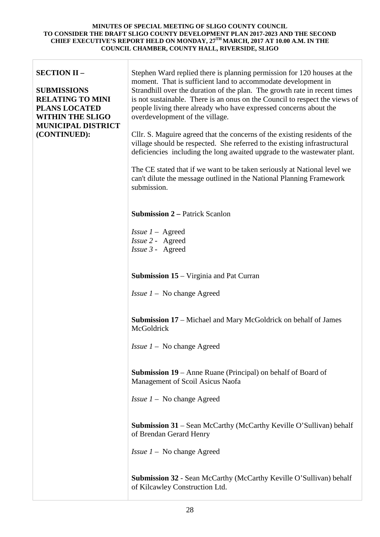| <b>SECTION II -</b><br><b>SUBMISSIONS</b><br><b>RELATING TO MINI</b><br><b>PLANS LOCATED</b><br><b>WITHIN THE SLIGO</b><br><b>MUNICIPAL DISTRICT</b><br>(CONTINUED): | Stephen Ward replied there is planning permission for 120 houses at the<br>moment. That is sufficient land to accommodate development in<br>Strandhill over the duration of the plan. The growth rate in recent times<br>is not sustainable. There is an onus on the Council to respect the views of<br>people living there already who have expressed concerns about the<br>overdevelopment of the village.<br>Cllr. S. Maguire agreed that the concerns of the existing residents of the |
|----------------------------------------------------------------------------------------------------------------------------------------------------------------------|--------------------------------------------------------------------------------------------------------------------------------------------------------------------------------------------------------------------------------------------------------------------------------------------------------------------------------------------------------------------------------------------------------------------------------------------------------------------------------------------|
|                                                                                                                                                                      | village should be respected. She referred to the existing infrastructural<br>deficiencies including the long awaited upgrade to the wastewater plant.                                                                                                                                                                                                                                                                                                                                      |
|                                                                                                                                                                      | The CE stated that if we want to be taken seriously at National level we<br>can't dilute the message outlined in the National Planning Framework<br>submission.                                                                                                                                                                                                                                                                                                                            |
|                                                                                                                                                                      | <b>Submission 2 – Patrick Scanlon</b>                                                                                                                                                                                                                                                                                                                                                                                                                                                      |
|                                                                                                                                                                      | <i>Issue <math>1 -</math></i> Agreed<br>Issue 2 - Agreed<br>Issue 3 - Agreed                                                                                                                                                                                                                                                                                                                                                                                                               |
|                                                                                                                                                                      | <b>Submission 15</b> – Virginia and Pat Curran                                                                                                                                                                                                                                                                                                                                                                                                                                             |
|                                                                                                                                                                      | <i>Issue <math>1 - No</math> change Agreed</i>                                                                                                                                                                                                                                                                                                                                                                                                                                             |
|                                                                                                                                                                      | <b>Submission 17</b> – Michael and Mary McGoldrick on behalf of James<br>McGoldrick                                                                                                                                                                                                                                                                                                                                                                                                        |
|                                                                                                                                                                      | <i>Issue <math>1 - No</math></i> change Agreed                                                                                                                                                                                                                                                                                                                                                                                                                                             |
|                                                                                                                                                                      | <b>Submission 19</b> – Anne Ruane (Principal) on behalf of Board of<br>Management of Scoil Asicus Naofa                                                                                                                                                                                                                                                                                                                                                                                    |
|                                                                                                                                                                      | <i>Issue <math>1 - No</math></i> change Agreed                                                                                                                                                                                                                                                                                                                                                                                                                                             |
|                                                                                                                                                                      | Submission 31 - Sean McCarthy (McCarthy Keville O'Sullivan) behalf<br>of Brendan Gerard Henry                                                                                                                                                                                                                                                                                                                                                                                              |
|                                                                                                                                                                      | <i>Issue <math>1 - No</math></i> change Agreed                                                                                                                                                                                                                                                                                                                                                                                                                                             |
|                                                                                                                                                                      | <b>Submission 32 - Sean McCarthy (McCarthy Keville O'Sullivan) behalf</b><br>of Kilcawley Construction Ltd.                                                                                                                                                                                                                                                                                                                                                                                |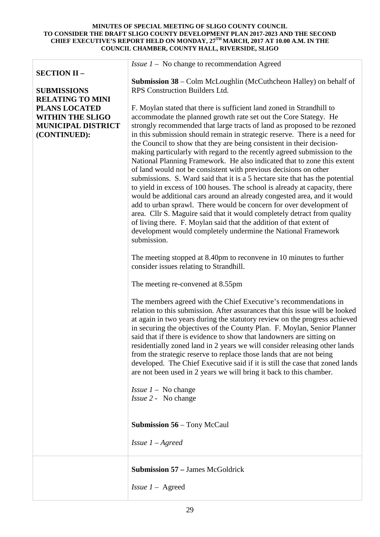| <b>SECTION II -</b>                                                                          | <i>Issue <math>1 - No</math></i> change to recommendation Agreed                                                                                                                                                                                                                                                                                                                                                                                                                                                                                                                                                                                                                                                                                                                                                                                                                                                                                                                                                                                                                                                                                           |
|----------------------------------------------------------------------------------------------|------------------------------------------------------------------------------------------------------------------------------------------------------------------------------------------------------------------------------------------------------------------------------------------------------------------------------------------------------------------------------------------------------------------------------------------------------------------------------------------------------------------------------------------------------------------------------------------------------------------------------------------------------------------------------------------------------------------------------------------------------------------------------------------------------------------------------------------------------------------------------------------------------------------------------------------------------------------------------------------------------------------------------------------------------------------------------------------------------------------------------------------------------------|
| <b>SUBMISSIONS</b><br><b>RELATING TO MINI</b>                                                | <b>Submission 38</b> – Colm McLoughlin (McCuthcheon Halley) on behalf of<br>RPS Construction Builders Ltd.                                                                                                                                                                                                                                                                                                                                                                                                                                                                                                                                                                                                                                                                                                                                                                                                                                                                                                                                                                                                                                                 |
| <b>PLANS LOCATED</b><br><b>WITHIN THE SLIGO</b><br><b>MUNICIPAL DISTRICT</b><br>(CONTINUED): | F. Moylan stated that there is sufficient land zoned in Strandhill to<br>accommodate the planned growth rate set out the Core Stategy. He<br>strongly recommended that large tracts of land as proposed to be rezoned<br>in this submission should remain in strategic reserve. There is a need for<br>the Council to show that they are being consistent in their decision-<br>making particularly with regard to the recently agreed submission to the<br>National Planning Framework. He also indicated that to zone this extent<br>of land would not be consistent with previous decisions on other<br>submissions. S. Ward said that it is a 5 hectare site that has the potential<br>to yield in excess of 100 houses. The school is already at capacity, there<br>would be additional cars around an already congested area, and it would<br>add to urban sprawl. There would be concern for over development of<br>area. Cllr S. Maguire said that it would completely detract from quality<br>of living there. F. Moylan said that the addition of that extent of<br>development would completely undermine the National Framework<br>submission. |
|                                                                                              | The meeting stopped at 8.40pm to reconvene in 10 minutes to further<br>consider issues relating to Strandhill.                                                                                                                                                                                                                                                                                                                                                                                                                                                                                                                                                                                                                                                                                                                                                                                                                                                                                                                                                                                                                                             |
|                                                                                              | The meeting re-convened at 8.55pm                                                                                                                                                                                                                                                                                                                                                                                                                                                                                                                                                                                                                                                                                                                                                                                                                                                                                                                                                                                                                                                                                                                          |
|                                                                                              | The members agreed with the Chief Executive's recommendations in<br>relation to this submission. After assurances that this issue will be looked<br>at again in two years during the statutory review on the progress achieved<br>in securing the objectives of the County Plan. F. Moylan, Senior Planner<br>said that if there is evidence to show that landowners are sitting on<br>residentially zoned land in 2 years we will consider releasing other lands<br>from the strategic reserve to replace those lands that are not being<br>developed. The Chief Executive said if it is still the case that zoned lands<br>are not been used in 2 years we will bring it back to this chamber.                                                                                                                                                                                                                                                                                                                                                                                                                                                           |
|                                                                                              | <i>Issue <math>1 - No change</math></i><br><i>Issue 2</i> - No change                                                                                                                                                                                                                                                                                                                                                                                                                                                                                                                                                                                                                                                                                                                                                                                                                                                                                                                                                                                                                                                                                      |
|                                                                                              | <b>Submission 56</b> – Tony McCaul                                                                                                                                                                                                                                                                                                                                                                                                                                                                                                                                                                                                                                                                                                                                                                                                                                                                                                                                                                                                                                                                                                                         |
|                                                                                              | <i>Issue</i> $1 -$ <i>Agreed</i>                                                                                                                                                                                                                                                                                                                                                                                                                                                                                                                                                                                                                                                                                                                                                                                                                                                                                                                                                                                                                                                                                                                           |
|                                                                                              | <b>Submission 57 – James McGoldrick</b><br><i>Issue</i> $1 -$ Agreed                                                                                                                                                                                                                                                                                                                                                                                                                                                                                                                                                                                                                                                                                                                                                                                                                                                                                                                                                                                                                                                                                       |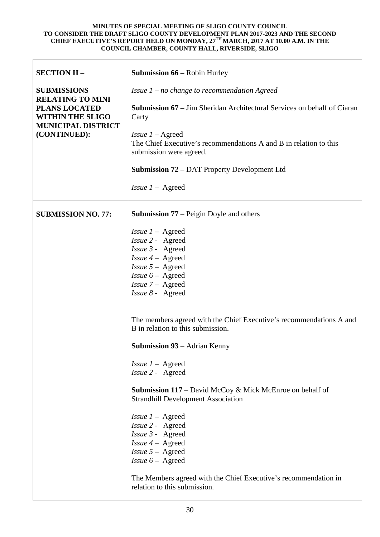| <b>SECTION II -</b>                                                                              | <b>Submission 66 – Robin Hurley</b>                                                                                                                                                                                |
|--------------------------------------------------------------------------------------------------|--------------------------------------------------------------------------------------------------------------------------------------------------------------------------------------------------------------------|
| <b>SUBMISSIONS</b><br><b>RELATING TO MINI</b><br><b>PLANS LOCATED</b><br><b>WITHIN THE SLIGO</b> | Issue $1$ – no change to recommendation Agreed                                                                                                                                                                     |
|                                                                                                  | <b>Submission 67</b> – Jim Sheridan Architectural Services on behalf of Ciaran<br>Carty                                                                                                                            |
| <b>MUNICIPAL DISTRICT</b><br>(CONTINUED):                                                        | <i>Issue</i> $1 -$ Agreed<br>The Chief Executive's recommendations A and B in relation to this<br>submission were agreed.                                                                                          |
|                                                                                                  | <b>Submission 72 – DAT Property Development Ltd</b>                                                                                                                                                                |
|                                                                                                  | <i>Issue</i> $1 -$ Agreed                                                                                                                                                                                          |
| <b>SUBMISSION NO. 77:</b>                                                                        | <b>Submission 77</b> – Peigin Doyle and others                                                                                                                                                                     |
|                                                                                                  | <i>Issue <math>1 -</math></i> Agreed<br>Issue 2 - Agreed<br>Issue 3 - Agreed<br><i>Issue 4</i> – Agreed<br><i>Issue</i> $5 -$ Agreed<br><i>Issue</i> $6 -$ Agreed<br><i>Issue</i> $7 -$ Agreed<br>Issue 8 - Agreed |
|                                                                                                  | The members agreed with the Chief Executive's recommendations A and<br>B in relation to this submission.                                                                                                           |
|                                                                                                  | <b>Submission 93</b> – Adrian Kenny                                                                                                                                                                                |
|                                                                                                  | <i>Issue <math>1 -</math></i> Agreed<br><i>Issue 2 - Agreed</i>                                                                                                                                                    |
|                                                                                                  | <b>Submission 117</b> – David McCoy & Mick McEnroe on behalf of<br><b>Strandhill Development Association</b>                                                                                                       |
|                                                                                                  | <i>Issue <math>1 -</math></i> Agreed<br>Issue 2 - Agreed<br>Issue 3 - Agreed<br><i>Issue 4</i> – Agreed<br><i>Issue</i> $5 -$ Agreed<br><i>Issue</i> $6 -$ Agreed                                                  |
|                                                                                                  | The Members agreed with the Chief Executive's recommendation in<br>relation to this submission.                                                                                                                    |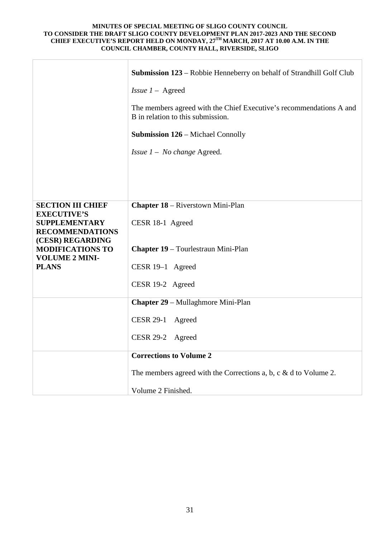|                                                                       | <b>Submission 123</b> – Robbie Henneberry on behalf of Strandhill Golf Club                              |
|-----------------------------------------------------------------------|----------------------------------------------------------------------------------------------------------|
|                                                                       | <i>Issue</i> $1 -$ Agreed                                                                                |
|                                                                       | The members agreed with the Chief Executive's recommendations A and<br>B in relation to this submission. |
|                                                                       | <b>Submission 126 – Michael Connolly</b>                                                                 |
|                                                                       | <i>Issue <math>1 - No change</math> Agreed.</i>                                                          |
|                                                                       |                                                                                                          |
|                                                                       |                                                                                                          |
| <b>SECTION III CHIEF</b>                                              | <b>Chapter 18 – Riverstown Mini-Plan</b>                                                                 |
| <b>EXECUTIVE'S</b><br><b>SUPPLEMENTARY</b>                            | CESR 18-1 Agreed                                                                                         |
| <b>RECOMMENDATIONS</b><br>(CESR) REGARDING<br><b>MODIFICATIONS TO</b> | <b>Chapter 19 – Tourlestraun Mini-Plan</b>                                                               |
| <b>VOLUME 2 MINI-</b><br><b>PLANS</b>                                 | CESR 19-1 Agreed                                                                                         |
|                                                                       | CESR 19-2 Agreed                                                                                         |
|                                                                       | <b>Chapter 29 – Mullaghmore Mini-Plan</b>                                                                |
|                                                                       | <b>CESR 29-1</b><br>Agreed                                                                               |
|                                                                       | CESR 29-2 Agreed                                                                                         |
|                                                                       | <b>Corrections to Volume 2</b>                                                                           |
|                                                                       | The members agreed with the Corrections a, b, c $\&$ d to Volume 2.                                      |
|                                                                       | Volume 2 Finished.                                                                                       |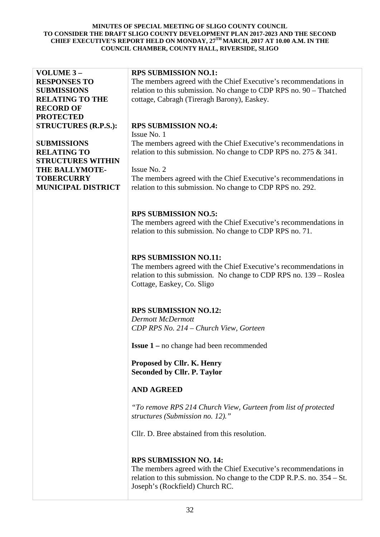| VOLUME 3-                   | <b>RPS SUBMISSION NO.1:</b>                                               |
|-----------------------------|---------------------------------------------------------------------------|
| <b>RESPONSES TO</b>         | The members agreed with the Chief Executive's recommendations in          |
| <b>SUBMISSIONS</b>          | relation to this submission. No change to CDP RPS no. 90 - Thatched       |
| <b>RELATING TO THE</b>      | cottage, Cabragh (Tireragh Barony), Easkey.                               |
|                             |                                                                           |
| <b>RECORD OF</b>            |                                                                           |
| <b>PROTECTED</b>            |                                                                           |
| <b>STRUCTURES (R.P.S.):</b> | <b>RPS SUBMISSION NO.4:</b>                                               |
|                             | Issue No. 1                                                               |
| <b>SUBMISSIONS</b>          | The members agreed with the Chief Executive's recommendations in          |
| <b>RELATING TO</b>          | relation to this submission. No change to CDP RPS no. 275 $\&$ 341.       |
| <b>STRUCTURES WITHIN</b>    |                                                                           |
| <b>THE BALLYMOTE-</b>       | Issue No. 2                                                               |
| <b>TOBERCURRY</b>           |                                                                           |
|                             | The members agreed with the Chief Executive's recommendations in          |
| <b>MUNICIPAL DISTRICT</b>   | relation to this submission. No change to CDP RPS no. 292.                |
|                             |                                                                           |
|                             |                                                                           |
|                             | <b>RPS SUBMISSION NO.5:</b>                                               |
|                             | The members agreed with the Chief Executive's recommendations in          |
|                             | relation to this submission. No change to CDP RPS no. 71.                 |
|                             |                                                                           |
|                             |                                                                           |
|                             |                                                                           |
|                             | <b>RPS SUBMISSION NO.11:</b>                                              |
|                             | The members agreed with the Chief Executive's recommendations in          |
|                             | relation to this submission. No change to CDP RPS no. 139 – Roslea        |
|                             | Cottage, Easkey, Co. Sligo                                                |
|                             |                                                                           |
|                             |                                                                           |
|                             | <b>RPS SUBMISSION NO.12:</b>                                              |
|                             | <b>Dermott McDermott</b>                                                  |
|                             | CDP RPS No. 214 - Church View, Gorteen                                    |
|                             |                                                                           |
|                             |                                                                           |
|                             | <b>Issue 1</b> – no change had been recommended                           |
|                             |                                                                           |
|                             | Proposed by Cllr. K. Henry                                                |
|                             | <b>Seconded by Cllr. P. Taylor</b>                                        |
|                             |                                                                           |
|                             | <b>AND AGREED</b>                                                         |
|                             |                                                                           |
|                             | "To remove RPS 214 Church View, Gurteen from list of protected            |
|                             | structures (Submission no. 12)."                                          |
|                             |                                                                           |
|                             | Cllr. D. Bree abstained from this resolution.                             |
|                             |                                                                           |
|                             |                                                                           |
|                             |                                                                           |
|                             | <b>RPS SUBMISSION NO. 14:</b>                                             |
|                             | The members agreed with the Chief Executive's recommendations in          |
|                             | relation to this submission. No change to the CDP R.P.S. no. $354 - St$ . |
|                             | Joseph's (Rockfield) Church RC.                                           |
|                             |                                                                           |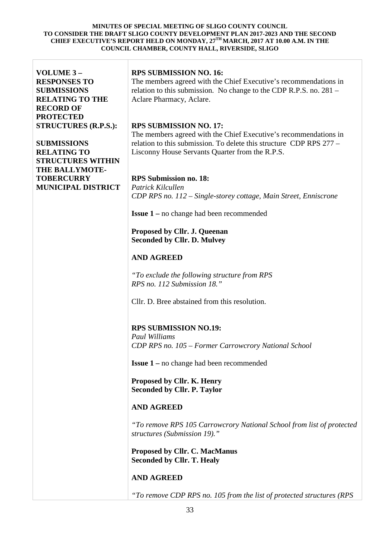| VOLUME 3-<br><b>RESPONSES TO</b><br><b>SUBMISSIONS</b><br><b>RELATING TO THE</b><br><b>RECORD OF</b><br><b>PROTECTED</b> | <b>RPS SUBMISSION NO. 16:</b><br>The members agreed with the Chief Executive's recommendations in<br>relation to this submission. No change to the CDP R.P.S. no. 281 –<br>Aclare Pharmacy, Aclare.                         |
|--------------------------------------------------------------------------------------------------------------------------|-----------------------------------------------------------------------------------------------------------------------------------------------------------------------------------------------------------------------------|
| <b>STRUCTURES (R.P.S.):</b><br><b>SUBMISSIONS</b><br><b>RELATING TO</b><br><b>STRUCTURES WITHIN</b>                      | <b>RPS SUBMISSION NO. 17:</b><br>The members agreed with the Chief Executive's recommendations in<br>relation to this submission. To delete this structure CDP RPS 277 –<br>Lisconny House Servants Quarter from the R.P.S. |
| <b>THE BALLYMOTE-</b><br><b>TOBERCURRY</b><br><b>MUNICIPAL DISTRICT</b>                                                  | <b>RPS</b> Submission no. 18:<br>Patrick Kilcullen<br>CDP RPS no. 112 – Single-storey cottage, Main Street, Enniscrone                                                                                                      |
|                                                                                                                          | <b>Issue 1</b> – no change had been recommended                                                                                                                                                                             |
|                                                                                                                          | Proposed by Cllr. J. Queenan<br><b>Seconded by Cllr. D. Mulvey</b>                                                                                                                                                          |
|                                                                                                                          | <b>AND AGREED</b>                                                                                                                                                                                                           |
|                                                                                                                          | "To exclude the following structure from RPS<br>RPS no. 112 Submission 18."                                                                                                                                                 |
|                                                                                                                          | Cllr. D. Bree abstained from this resolution.                                                                                                                                                                               |
|                                                                                                                          | <b>RPS SUBMISSION NO.19:</b><br><b>Paul Williams</b><br>CDP RPS no. 105 - Former Carrowcrory National School                                                                                                                |
|                                                                                                                          | <b>Issue 1</b> – no change had been recommended                                                                                                                                                                             |
|                                                                                                                          | Proposed by Cllr. K. Henry<br><b>Seconded by Cllr. P. Taylor</b>                                                                                                                                                            |
|                                                                                                                          | <b>AND AGREED</b>                                                                                                                                                                                                           |
|                                                                                                                          | "To remove RPS 105 Carrowcrory National School from list of protected<br>structures (Submission 19)."                                                                                                                       |
|                                                                                                                          | Proposed by Cllr. C. MacManus<br><b>Seconded by Cllr. T. Healy</b>                                                                                                                                                          |
|                                                                                                                          | <b>AND AGREED</b>                                                                                                                                                                                                           |
|                                                                                                                          | "To remove CDP RPS no. 105 from the list of protected structures (RPS                                                                                                                                                       |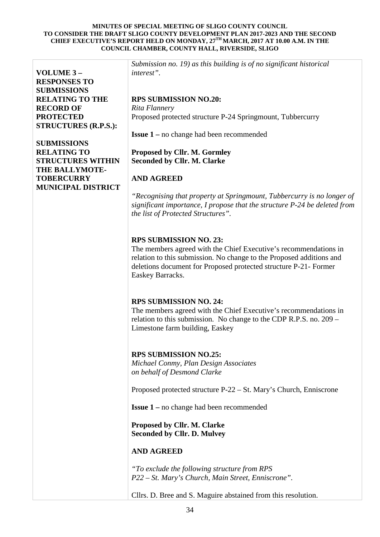**VOLUME 3 – RESPONSES TO SUBMISSIONS RELATING TO THE RECORD OF PROTECTED STRUCTURES (R.P.S.):**

**SUBMISSIONS RELATING TO STRUCTURES WITHIN THE BALLYMOTE-TOBERCURRY MUNICIPAL DISTRICT**

*Submission no. 19) as this building is of no significant historical interest".*

# **RPS SUBMISSION NO.20:**

*Rita Flannery* Proposed protected structure P-24 Springmount, Tubbercurry

**Issue 1 –** no change had been recommended

## **Proposed by Cllr. M. Gormley Seconded by Cllr. M. Clarke**

# **AND AGREED**

*"Recognising that property at Springmount, Tubbercurry is no longer of significant importance, I propose that the structure P-24 be deleted from the list of Protected Structures".*

## **RPS SUBMISSION NO. 23:**

The members agreed with the Chief Executive's recommendations in relation to this submission. No change to the Proposed additions and deletions document for Proposed protected structure P-21- Former Easkey Barracks.

## **RPS SUBMISSION NO. 24:**

The members agreed with the Chief Executive's recommendations in relation to this submission. No change to the CDP R.P.S. no. 209 – Limestone farm building, Easkey

## **RPS SUBMISSION NO.25:**

*Michael Conmy, Plan Design Associates on behalf of Desmond Clarke* 

Proposed protected structure P-22 – St. Mary's Church, Enniscrone

**Issue 1 –** no change had been recommended

**Proposed by Cllr. M. Clarke Seconded by Cllr. D. Mulvey**

## **AND AGREED**

*"To exclude the following structure from RPS P22 – St. Mary's Church, Main Street, Enniscrone".*

Cllrs. D. Bree and S. Maguire abstained from this resolution.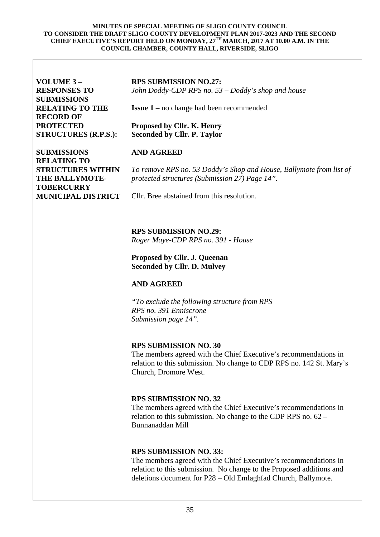| VOLUME 3-<br><b>RESPONSES TO</b><br><b>SUBMISSIONS</b><br><b>RELATING TO THE</b><br><b>RECORD OF</b><br><b>PROTECTED</b><br><b>STRUCTURES (R.P.S.):</b><br><b>SUBMISSIONS</b><br><b>RELATING TO</b> | <b>RPS SUBMISSION NO.27:</b><br>John Doddy-CDP RPS no. 53 – Doddy's shop and house<br><b>Issue 1</b> – no change had been recommended<br>Proposed by Cllr. K. Henry<br><b>Seconded by Cllr. P. Taylor</b><br><b>AND AGREED</b>             |
|-----------------------------------------------------------------------------------------------------------------------------------------------------------------------------------------------------|--------------------------------------------------------------------------------------------------------------------------------------------------------------------------------------------------------------------------------------------|
| <b>STRUCTURES WITHIN</b><br>THE BALLYMOTE-<br><b>TOBERCURRY</b><br><b>MUNICIPAL DISTRICT</b>                                                                                                        | To remove RPS no. 53 Doddy's Shop and House, Ballymote from list of<br>protected structures (Submission 27) Page 14".<br>Cllr. Bree abstained from this resolution.                                                                        |
|                                                                                                                                                                                                     | <b>RPS SUBMISSION NO.29:</b><br>Roger Maye-CDP RPS no. 391 - House                                                                                                                                                                         |
|                                                                                                                                                                                                     | <b>Proposed by Cllr. J. Queenan</b><br><b>Seconded by Cllr. D. Mulvey</b>                                                                                                                                                                  |
|                                                                                                                                                                                                     | <b>AND AGREED</b><br>"To exclude the following structure from RPS<br>RPS no. 391 Enniscrone<br>Submission page 14".                                                                                                                        |
|                                                                                                                                                                                                     | <b>RPS SUBMISSION NO. 30</b><br>The members agreed with the Chief Executive's recommendations in<br>relation to this submission. No change to CDP RPS no. 142 St. Mary's<br>Church, Dromore West.                                          |
|                                                                                                                                                                                                     | <b>RPS SUBMISSION NO. 32</b><br>The members agreed with the Chief Executive's recommendations in<br>relation to this submission. No change to the CDP RPS no. $62 -$<br>Bunnanaddan Mill                                                   |
|                                                                                                                                                                                                     | <b>RPS SUBMISSION NO. 33:</b><br>The members agreed with the Chief Executive's recommendations in<br>relation to this submission. No change to the Proposed additions and<br>deletions document for P28 - Old Emlaghfad Church, Ballymote. |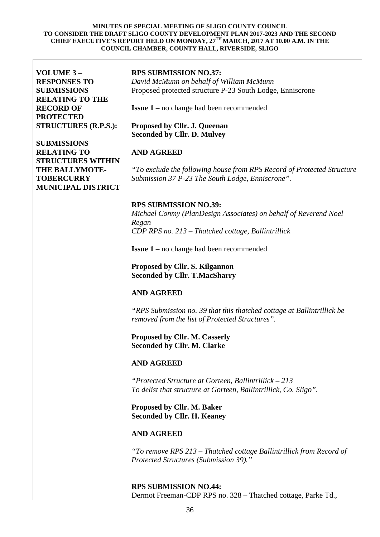| VOLUME 3-<br><b>RESPONSES TO</b><br><b>SUBMISSIONS</b><br><b>RELATING TO THE</b><br><b>RECORD OF</b><br><b>PROTECTED</b><br><b>STRUCTURES (R.P.S.):</b><br><b>SUBMISSIONS</b><br><b>RELATING TO</b><br><b>STRUCTURES WITHIN</b><br>THE BALLYMOTE-<br><b>TOBERCURRY</b><br><b>MUNICIPAL DISTRICT</b> | <b>RPS SUBMISSION NO.37:</b><br>David McMunn on behalf of William McMunn<br>Proposed protected structure P-23 South Lodge, Enniscrone<br><b>Issue 1</b> – no change had been recommended<br>Proposed by Cllr. J. Queenan<br><b>Seconded by Cllr. D. Mulvey</b><br><b>AND AGREED</b><br>"To exclude the following house from RPS Record of Protected Structure<br>Submission 37 P-23 The South Lodge, Enniscrone".                                                                                                                                                                                                                                                                                                                                                                                                                                                                                                                                                                  |
|-----------------------------------------------------------------------------------------------------------------------------------------------------------------------------------------------------------------------------------------------------------------------------------------------------|------------------------------------------------------------------------------------------------------------------------------------------------------------------------------------------------------------------------------------------------------------------------------------------------------------------------------------------------------------------------------------------------------------------------------------------------------------------------------------------------------------------------------------------------------------------------------------------------------------------------------------------------------------------------------------------------------------------------------------------------------------------------------------------------------------------------------------------------------------------------------------------------------------------------------------------------------------------------------------|
|                                                                                                                                                                                                                                                                                                     | <b>RPS SUBMISSION NO.39:</b><br>Michael Conmy (PlanDesign Associates) on behalf of Reverend Noel<br>Regan<br>CDP RPS no. 213 - Thatched cottage, Ballintrillick<br><b>Issue 1</b> – no change had been recommended<br>Proposed by Cllr. S. Kilgannon<br><b>Seconded by Cllr. T.MacSharry</b><br><b>AND AGREED</b><br>"RPS Submission no. 39 that this thatched cottage at Ballintrillick be<br>removed from the list of Protected Structures".<br>Proposed by Cllr. M. Casserly<br><b>Seconded by Cllr. M. Clarke</b><br><b>AND AGREED</b><br>"Protected Structure at Gorteen, Ballintrillick – 213<br>To delist that structure at Gorteen, Ballintrillick, Co. Sligo".<br>Proposed by Cllr. M. Baker<br><b>Seconded by Cllr. H. Keaney</b><br><b>AND AGREED</b><br>"To remove RPS 213 - Thatched cottage Ballintrillick from Record of<br>Protected Structures (Submission 39)."<br><b>RPS SUBMISSION NO.44:</b><br>Dermot Freeman-CDP RPS no. 328 - Thatched cottage, Parke Td., |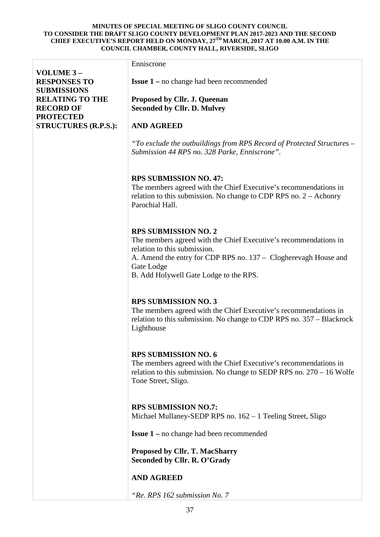|                             | Enniscrone                                                                                                                                                                                                                                                 |
|-----------------------------|------------------------------------------------------------------------------------------------------------------------------------------------------------------------------------------------------------------------------------------------------------|
| VOLUME 3-                   |                                                                                                                                                                                                                                                            |
| <b>RESPONSES TO</b>         | <b>Issue 1</b> – no change had been recommended                                                                                                                                                                                                            |
| <b>SUBMISSIONS</b>          |                                                                                                                                                                                                                                                            |
| <b>RELATING TO THE</b>      | Proposed by Cllr. J. Queenan                                                                                                                                                                                                                               |
| <b>RECORD OF</b>            | <b>Seconded by Cllr. D. Mulvey</b>                                                                                                                                                                                                                         |
| <b>PROTECTED</b>            |                                                                                                                                                                                                                                                            |
| <b>STRUCTURES (R.P.S.):</b> | <b>AND AGREED</b>                                                                                                                                                                                                                                          |
|                             | "To exclude the outbuildings from RPS Record of Protected Structures -<br>Submission 44 RPS no. 328 Parke, Enniscrone".                                                                                                                                    |
|                             | <b>RPS SUBMISSION NO. 47:</b><br>The members agreed with the Chief Executive's recommendations in<br>relation to this submission. No change to CDP RPS no. $2 -$ Achonry<br>Parochial Hall.                                                                |
|                             | <b>RPS SUBMISSION NO. 2</b><br>The members agreed with the Chief Executive's recommendations in<br>relation to this submission.<br>A. Amend the entry for CDP RPS no. 137 – Clogherevagh House and<br>Gate Lodge<br>B. Add Holywell Gate Lodge to the RPS. |
|                             | <b>RPS SUBMISSION NO. 3</b><br>The members agreed with the Chief Executive's recommendations in<br>relation to this submission. No change to CDP RPS no. 357 – Blackrock<br>Lighthouse                                                                     |
|                             | <b>RPS SUBMISSION NO. 6</b><br>The members agreed with the Chief Executive's recommendations in<br>relation to this submission. No change to SEDP RPS no. $270 - 16$ Wolfe<br>Tone Street, Sligo.                                                          |
|                             | <b>RPS SUBMISSION NO.7:</b><br>Michael Mullaney-SEDP RPS no. 162 – 1 Teeling Street, Sligo                                                                                                                                                                 |
|                             | <b>Issue 1</b> – no change had been recommended                                                                                                                                                                                                            |
|                             | <b>Proposed by Cllr. T. MacSharry</b><br>Seconded by Cllr. R. O'Grady                                                                                                                                                                                      |
|                             | <b>AND AGREED</b>                                                                                                                                                                                                                                          |
|                             | "Re. RPS 162 submission No. 7                                                                                                                                                                                                                              |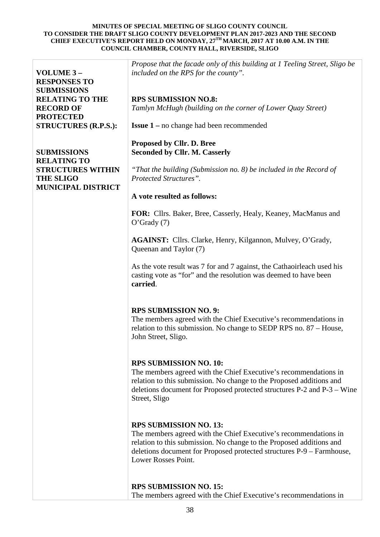| VOLUME 3-<br><b>RESPONSES TO</b>                                          | Propose that the facade only of this building at 1 Teeling Street, Sligo be<br>included on the RPS for the county".                                                                                                                                                       |
|---------------------------------------------------------------------------|---------------------------------------------------------------------------------------------------------------------------------------------------------------------------------------------------------------------------------------------------------------------------|
| <b>SUBMISSIONS</b>                                                        |                                                                                                                                                                                                                                                                           |
| <b>RELATING TO THE</b><br><b>RECORD OF</b><br><b>PROTECTED</b>            | <b>RPS SUBMISSION NO.8:</b><br>Tamlyn McHugh (building on the corner of Lower Quay Street)                                                                                                                                                                                |
| <b>STRUCTURES (R.P.S.):</b>                                               | <b>Issue 1</b> – no change had been recommended                                                                                                                                                                                                                           |
| <b>SUBMISSIONS</b><br><b>RELATING TO</b>                                  | Proposed by Cllr. D. Bree<br><b>Seconded by Cllr. M. Casserly</b>                                                                                                                                                                                                         |
| <b>STRUCTURES WITHIN</b><br><b>THE SLIGO</b><br><b>MUNICIPAL DISTRICT</b> | "That the building (Submission no. 8) be included in the Record of<br>Protected Structures".                                                                                                                                                                              |
|                                                                           | A vote resulted as follows:                                                                                                                                                                                                                                               |
|                                                                           | FOR: Cllrs. Baker, Bree, Casserly, Healy, Keaney, MacManus and<br>$O'$ Grady $(7)$                                                                                                                                                                                        |
|                                                                           | AGAINST: Cllrs. Clarke, Henry, Kilgannon, Mulvey, O'Grady,<br>Queenan and Taylor (7)                                                                                                                                                                                      |
|                                                                           | As the vote result was 7 for and 7 against, the Cathaoirleach used his<br>casting vote as "for" and the resolution was deemed to have been<br>carried.                                                                                                                    |
|                                                                           | <b>RPS SUBMISSION NO. 9:</b><br>The members agreed with the Chief Executive's recommendations in<br>relation to this submission. No change to SEDP RPS no. 87 – House,<br>John Street, Sligo.                                                                             |
|                                                                           | <b>RPS SUBMISSION NO. 10:</b><br>The members agreed with the Chief Executive's recommendations in<br>relation to this submission. No change to the Proposed additions and<br>deletions document for Proposed protected structures P-2 and P-3 – Wine<br>Street, Sligo     |
|                                                                           | <b>RPS SUBMISSION NO. 13:</b><br>The members agreed with the Chief Executive's recommendations in<br>relation to this submission. No change to the Proposed additions and<br>deletions document for Proposed protected structures P-9 - Farmhouse,<br>Lower Rosses Point. |
|                                                                           | <b>RPS SUBMISSION NO. 15:</b><br>The members agreed with the Chief Executive's recommendations in                                                                                                                                                                         |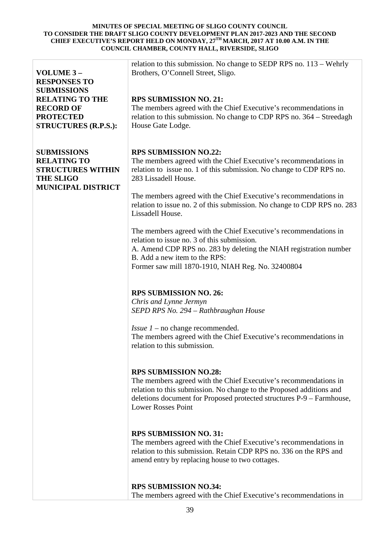| VOLUME 3-<br><b>RESPONSES TO</b><br><b>SUBMISSIONS</b><br><b>RELATING TO THE</b><br><b>RECORD OF</b><br><b>PROTECTED</b><br><b>STRUCTURES (R.P.S.):</b> | relation to this submission. No change to SEDP RPS no. 113 - Wehrly<br>Brothers, O'Connell Street, Sligo.<br><b>RPS SUBMISSION NO. 21:</b><br>The members agreed with the Chief Executive's recommendations in<br>relation to this submission. No change to CDP RPS no. 364 – Streedagh<br>House Gate Lodge.                                                                                                                                                                                                                                                                                                                                                                                                                                                                                                                                                                                                                                                                                                                                                                                                                                                                                                                                                                                                                                                                                                                       |
|---------------------------------------------------------------------------------------------------------------------------------------------------------|------------------------------------------------------------------------------------------------------------------------------------------------------------------------------------------------------------------------------------------------------------------------------------------------------------------------------------------------------------------------------------------------------------------------------------------------------------------------------------------------------------------------------------------------------------------------------------------------------------------------------------------------------------------------------------------------------------------------------------------------------------------------------------------------------------------------------------------------------------------------------------------------------------------------------------------------------------------------------------------------------------------------------------------------------------------------------------------------------------------------------------------------------------------------------------------------------------------------------------------------------------------------------------------------------------------------------------------------------------------------------------------------------------------------------------|
| <b>SUBMISSIONS</b><br><b>RELATING TO</b><br><b>STRUCTURES WITHIN</b><br><b>THE SLIGO</b><br><b>MUNICIPAL DISTRICT</b>                                   | <b>RPS SUBMISSION NO.22:</b><br>The members agreed with the Chief Executive's recommendations in<br>relation to issue no. 1 of this submission. No change to CDP RPS no.<br>283 Lissadell House.<br>The members agreed with the Chief Executive's recommendations in<br>relation to issue no. 2 of this submission. No change to CDP RPS no. 283<br>Lissadell House.<br>The members agreed with the Chief Executive's recommendations in<br>relation to issue no. 3 of this submission.<br>A. Amend CDP RPS no. 283 by deleting the NIAH registration number<br>B. Add a new item to the RPS:<br>Former saw mill 1870-1910, NIAH Reg. No. 32400804<br><b>RPS SUBMISSION NO. 26:</b><br>Chris and Lynne Jermyn<br>SEPD RPS No. 294 – Rathbraughan House<br><i>Issue <math>1</math> – no change recommended.</i><br>The members agreed with the Chief Executive's recommendations in<br>relation to this submission.<br><b>RPS SUBMISSION NO.28:</b><br>The members agreed with the Chief Executive's recommendations in<br>relation to this submission. No change to the Proposed additions and<br>deletions document for Proposed protected structures P-9 – Farmhouse,<br><b>Lower Rosses Point</b><br><b>RPS SUBMISSION NO. 31:</b><br>The members agreed with the Chief Executive's recommendations in<br>relation to this submission. Retain CDP RPS no. 336 on the RPS and<br>amend entry by replacing house to two cottages. |
|                                                                                                                                                         | <b>RPS SUBMISSION NO.34:</b><br>The members agreed with the Chief Executive's recommendations in                                                                                                                                                                                                                                                                                                                                                                                                                                                                                                                                                                                                                                                                                                                                                                                                                                                                                                                                                                                                                                                                                                                                                                                                                                                                                                                                   |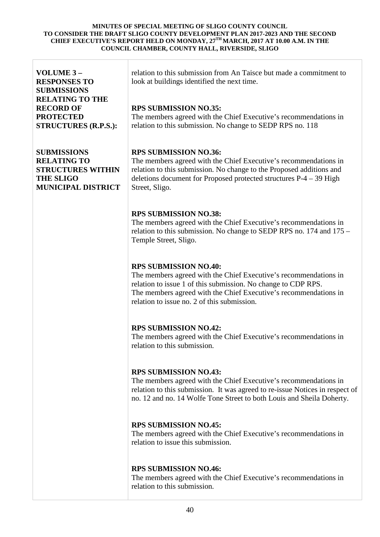| VOLUME 3-<br><b>RESPONSES TO</b><br><b>SUBMISSIONS</b>                                                                | relation to this submission from An Taisce but made a commitment to<br>look at buildings identified the next time.                                                                                                                                                                   |  |
|-----------------------------------------------------------------------------------------------------------------------|--------------------------------------------------------------------------------------------------------------------------------------------------------------------------------------------------------------------------------------------------------------------------------------|--|
| <b>RELATING TO THE</b><br><b>RECORD OF</b><br><b>PROTECTED</b><br><b>STRUCTURES (R.P.S.):</b>                         | <b>RPS SUBMISSION NO.35:</b><br>The members agreed with the Chief Executive's recommendations in<br>relation to this submission. No change to SEDP RPS no. 118                                                                                                                       |  |
| <b>SUBMISSIONS</b><br><b>RELATING TO</b><br><b>STRUCTURES WITHIN</b><br><b>THE SLIGO</b><br><b>MUNICIPAL DISTRICT</b> | <b>RPS SUBMISSION NO.36:</b><br>The members agreed with the Chief Executive's recommendations in<br>relation to this submission. No change to the Proposed additions and<br>deletions document for Proposed protected structures $P-4-39$ High<br>Street, Sligo.                     |  |
|                                                                                                                       | <b>RPS SUBMISSION NO.38:</b><br>The members agreed with the Chief Executive's recommendations in<br>relation to this submission. No change to SEDP RPS no. 174 and 175 –<br>Temple Street, Sligo.                                                                                    |  |
|                                                                                                                       | <b>RPS SUBMISSION NO.40:</b><br>The members agreed with the Chief Executive's recommendations in<br>relation to issue 1 of this submission. No change to CDP RPS.<br>The members agreed with the Chief Executive's recommendations in<br>relation to issue no. 2 of this submission. |  |
|                                                                                                                       | <b>RPS SUBMISSION NO.42:</b><br>The members agreed with the Chief Executive's recommendations in<br>relation to this submission.                                                                                                                                                     |  |
|                                                                                                                       | <b>RPS SUBMISSION NO.43:</b><br>The members agreed with the Chief Executive's recommendations in<br>relation to this submission. It was agreed to re-issue Notices in respect of<br>no. 12 and no. 14 Wolfe Tone Street to both Louis and Sheila Doherty.                            |  |
|                                                                                                                       | <b>RPS SUBMISSION NO.45:</b><br>The members agreed with the Chief Executive's recommendations in<br>relation to issue this submission.                                                                                                                                               |  |
|                                                                                                                       | <b>RPS SUBMISSION NO.46:</b><br>The members agreed with the Chief Executive's recommendations in<br>relation to this submission.                                                                                                                                                     |  |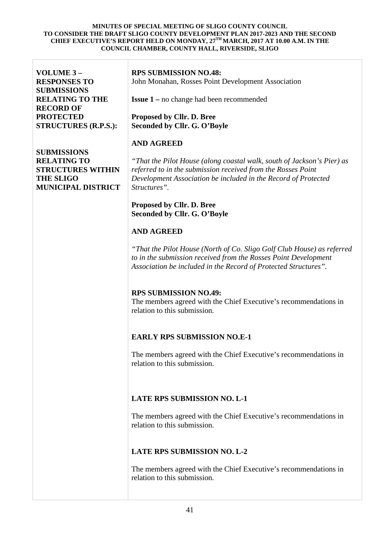| VOLUME 3-<br><b>RESPONSES TO</b><br><b>SUBMISSIONS</b><br><b>RELATING TO THE</b><br><b>RECORD OF</b><br><b>PROTECTED</b><br><b>STRUCTURES (R.P.S.):</b> | <b>RPS SUBMISSION NO.48:</b><br>John Monahan, Rosses Point Development Association<br><b>Issue 1</b> – no change had been recommended<br>Proposed by Cllr. D. Bree<br>Seconded by Cllr. G. O'Boyle                       |
|---------------------------------------------------------------------------------------------------------------------------------------------------------|--------------------------------------------------------------------------------------------------------------------------------------------------------------------------------------------------------------------------|
|                                                                                                                                                         | <b>AND AGREED</b>                                                                                                                                                                                                        |
| <b>SUBMISSIONS</b><br><b>RELATING TO</b><br><b>STRUCTURES WITHIN</b><br><b>THE SLIGO</b><br><b>MUNICIPAL DISTRICT</b>                                   | "That the Pilot House (along coastal walk, south of Jackson's Pier) as<br>referred to in the submission received from the Rosses Point<br>Development Association be included in the Record of Protected<br>Structures". |
|                                                                                                                                                         | Proposed by Cllr. D. Bree<br>Seconded by Cllr. G. O'Boyle                                                                                                                                                                |
|                                                                                                                                                         | <b>AND AGREED</b>                                                                                                                                                                                                        |
|                                                                                                                                                         | "That the Pilot House (North of Co. Sligo Golf Club House) as referred<br>to in the submission received from the Rosses Point Development<br>Association be included in the Record of Protected Structures".             |
|                                                                                                                                                         | <b>RPS SUBMISSION NO.49:</b><br>The members agreed with the Chief Executive's recommendations in<br>relation to this submission.                                                                                         |
|                                                                                                                                                         | <b>EARLY RPS SUBMISSION NO.E-1</b>                                                                                                                                                                                       |
|                                                                                                                                                         | The members agreed with the Chief Executive's recommendations in<br>relation to this submission.                                                                                                                         |
|                                                                                                                                                         | <b>LATE RPS SUBMISSION NO. L-1</b>                                                                                                                                                                                       |
|                                                                                                                                                         | The members agreed with the Chief Executive's recommendations in<br>relation to this submission.                                                                                                                         |
|                                                                                                                                                         | <b>LATE RPS SUBMISSION NO. L-2</b>                                                                                                                                                                                       |
|                                                                                                                                                         | The members agreed with the Chief Executive's recommendations in<br>relation to this submission.                                                                                                                         |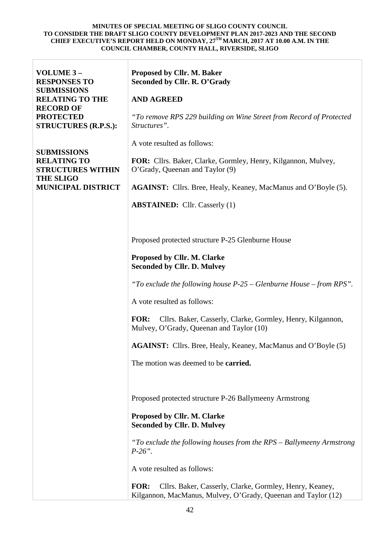| VOLUME 3-<br><b>RESPONSES TO</b><br><b>SUBMISSIONS</b>               | Proposed by Cllr. M. Baker<br>Seconded by Cllr. R. O'Grady                                                                              |  |
|----------------------------------------------------------------------|-----------------------------------------------------------------------------------------------------------------------------------------|--|
| <b>RELATING TO THE</b>                                               | <b>AND AGREED</b>                                                                                                                       |  |
| <b>RECORD OF</b><br><b>PROTECTED</b><br><b>STRUCTURES (R.P.S.):</b>  | "To remove RPS 229 building on Wine Street from Record of Protected<br>Structures".                                                     |  |
|                                                                      | A vote resulted as follows:                                                                                                             |  |
| <b>SUBMISSIONS</b><br><b>RELATING TO</b><br><b>STRUCTURES WITHIN</b> | FOR: Cllrs. Baker, Clarke, Gormley, Henry, Kilgannon, Mulvey,<br>O'Grady, Queenan and Taylor (9)                                        |  |
| <b>THE SLIGO</b><br><b>MUNICIPAL DISTRICT</b>                        | <b>AGAINST:</b> Cllrs. Bree, Healy, Keaney, MacManus and O'Boyle (5).                                                                   |  |
|                                                                      | <b>ABSTAINED:</b> Cllr. Casserly (1)                                                                                                    |  |
|                                                                      |                                                                                                                                         |  |
|                                                                      |                                                                                                                                         |  |
|                                                                      | Proposed protected structure P-25 Glenburne House                                                                                       |  |
|                                                                      | Proposed by Cllr. M. Clarke<br><b>Seconded by Cllr. D. Mulvey</b>                                                                       |  |
|                                                                      | "To exclude the following house $P-25$ – Glenburne House – from RPS".                                                                   |  |
|                                                                      | A vote resulted as follows:                                                                                                             |  |
|                                                                      |                                                                                                                                         |  |
|                                                                      | FOR:<br>Cllrs. Baker, Casserly, Clarke, Gormley, Henry, Kilgannon,<br>Mulvey, O'Grady, Queenan and Taylor (10)                          |  |
|                                                                      | <b>AGAINST:</b> Cllrs. Bree, Healy, Keaney, MacManus and O'Boyle (5)                                                                    |  |
|                                                                      | The motion was deemed to be <b>carried.</b>                                                                                             |  |
|                                                                      |                                                                                                                                         |  |
|                                                                      |                                                                                                                                         |  |
|                                                                      | Proposed protected structure P-26 Ballymeeny Armstrong                                                                                  |  |
|                                                                      | Proposed by Cllr. M. Clarke<br><b>Seconded by Cllr. D. Mulvey</b>                                                                       |  |
|                                                                      | "To exclude the following houses from the RPS - Ballymeeny Armstrong<br>$P-26$ ".                                                       |  |
|                                                                      | A vote resulted as follows:                                                                                                             |  |
|                                                                      | <b>FOR:</b><br>Cllrs. Baker, Casserly, Clarke, Gormley, Henry, Keaney,<br>Kilgannon, MacManus, Mulvey, O'Grady, Queenan and Taylor (12) |  |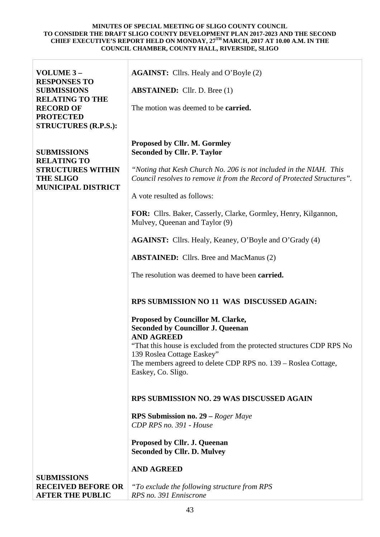| VOLUME 3-<br><b>RESPONSES TO</b><br><b>SUBMISSIONS</b><br><b>RELATING TO THE</b><br><b>RECORD OF</b><br><b>PROTECTED</b><br><b>STRUCTURES (R.P.S.):</b> | <b>AGAINST:</b> Cllrs. Healy and O'Boyle (2)<br><b>ABSTAINED:</b> Cllr. D. Bree (1)<br>The motion was deemed to be <b>carried.</b>                                                                                                                                                                                                             |
|---------------------------------------------------------------------------------------------------------------------------------------------------------|------------------------------------------------------------------------------------------------------------------------------------------------------------------------------------------------------------------------------------------------------------------------------------------------------------------------------------------------|
| <b>SUBMISSIONS</b><br><b>RELATING TO</b><br><b>STRUCTURES WITHIN</b><br><b>THE SLIGO</b><br><b>MUNICIPAL DISTRICT</b>                                   | <b>Proposed by Cllr. M. Gormley</b><br><b>Seconded by Cllr. P. Taylor</b><br>"Noting that Kesh Church No. 206 is not included in the NIAH. This<br>Council resolves to remove it from the Record of Protected Structures".<br>A vote resulted as follows:                                                                                      |
|                                                                                                                                                         | FOR: Cllrs. Baker, Casserly, Clarke, Gormley, Henry, Kilgannon,<br>Mulvey, Queenan and Taylor (9)<br><b>AGAINST:</b> Cllrs. Healy, Keaney, O'Boyle and O'Grady (4)<br><b>ABSTAINED:</b> Cllrs. Bree and MacManus (2)<br>The resolution was deemed to have been <b>carried.</b>                                                                 |
|                                                                                                                                                         | RPS SUBMISSION NO 11 WAS DISCUSSED AGAIN:<br>Proposed by Councillor M. Clarke,<br><b>Seconded by Councillor J. Queenan</b><br><b>AND AGREED</b><br>"That this house is excluded from the protected structures CDP RPS No<br>139 Roslea Cottage Easkey"<br>The members agreed to delete CDP RPS no. 139 - Roslea Cottage,<br>Easkey, Co. Sligo. |
| <b>SUBMISSIONS</b><br><b>RECEIVED BEFORE OR</b><br><b>AFTER THE PUBLIC</b>                                                                              | <b>RPS SUBMISSION NO. 29 WAS DISCUSSED AGAIN</b><br><b>RPS Submission no. 29 – Roger Maye</b><br>CDP RPS no. 391 - House<br><b>Proposed by Cllr. J. Queenan</b><br><b>Seconded by Cllr. D. Mulvey</b><br><b>AND AGREED</b><br>"To exclude the following structure from RPS<br>RPS no. 391 Enniscrone                                           |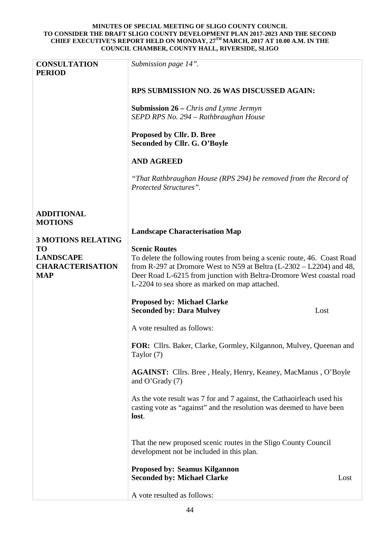| <b>CONSULTATION</b><br><b>PERIOD</b> | Submission page 14".                                                                                                                                    |      |
|--------------------------------------|---------------------------------------------------------------------------------------------------------------------------------------------------------|------|
|                                      | RPS SUBMISSION NO. 26 WAS DISCUSSED AGAIN:                                                                                                              |      |
|                                      | <b>Submission 26</b> – <i>Chris and Lynne Jermyn</i><br>SEPD RPS No. 294 - Rathbraughan House                                                           |      |
|                                      | Proposed by Cllr. D. Bree<br>Seconded by Cllr. G. O'Boyle                                                                                               |      |
|                                      | <b>AND AGREED</b>                                                                                                                                       |      |
|                                      | "That Rathbraughan House (RPS 294) be removed from the Record of<br>Protected Structures".                                                              |      |
| <b>ADDITIONAL</b><br><b>MOTIONS</b>  |                                                                                                                                                         |      |
| <b>3 MOTIONS RELATING</b>            | <b>Landscape Characterisation Map</b>                                                                                                                   |      |
| <b>TO</b>                            | <b>Scenic Routes</b>                                                                                                                                    |      |
| <b>LANDSCAPE</b>                     | To delete the following routes from being a scenic route, 46. Coast Road                                                                                |      |
| <b>CHARACTERISATION</b>              | from R-297 at Dromore West to N59 at Beltra $(L-2302 - L2204)$ and 48,                                                                                  |      |
| <b>MAP</b>                           | Deer Road L-6215 from junction with Beltra-Dromore West coastal road<br>L-2204 to sea shore as marked on map attached.                                  |      |
|                                      |                                                                                                                                                         |      |
|                                      | <b>Proposed by: Michael Clarke</b>                                                                                                                      |      |
|                                      | <b>Seconded by: Dara Mulvey</b><br>Lost                                                                                                                 |      |
|                                      | A vote resulted as follows:                                                                                                                             |      |
|                                      | FOR: Cllrs. Baker, Clarke, Gormley, Kilgannon, Mulvey, Queenan and<br>Taylor (7)                                                                        |      |
|                                      | AGAINST: Cllrs. Bree, Healy, Henry, Keaney, MacManus, O'Boyle<br>and O'Grady $(7)$                                                                      |      |
|                                      | As the vote result was 7 for and 7 against, the Cathaoirleach used his<br>casting vote as "against" and the resolution was deemed to have been<br>lost. |      |
|                                      | That the new proposed scenic routes in the Sligo County Council<br>development not be included in this plan.                                            |      |
|                                      | <b>Proposed by: Seamus Kilgannon</b><br><b>Seconded by: Michael Clarke</b>                                                                              | Lost |
|                                      | A vote resulted as follows:                                                                                                                             |      |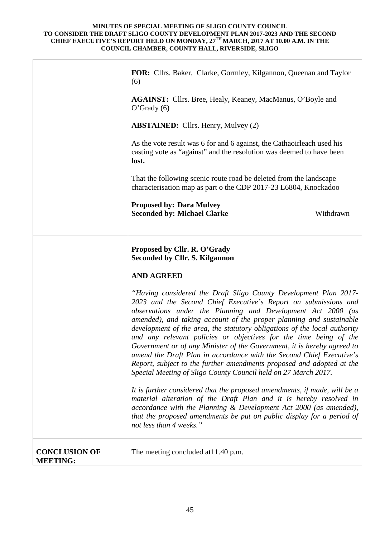|                                         | FOR: Cllrs. Baker, Clarke, Gormley, Kilgannon, Queenan and Taylor<br>(6)                                                                                                                                                                                                                                                                                                                                                                                                                                                                                                            |           |
|-----------------------------------------|-------------------------------------------------------------------------------------------------------------------------------------------------------------------------------------------------------------------------------------------------------------------------------------------------------------------------------------------------------------------------------------------------------------------------------------------------------------------------------------------------------------------------------------------------------------------------------------|-----------|
|                                         | <b>AGAINST:</b> Cllrs. Bree, Healy, Keaney, MacManus, O'Boyle and<br>$O'$ Grady $(6)$                                                                                                                                                                                                                                                                                                                                                                                                                                                                                               |           |
|                                         | <b>ABSTAINED:</b> Cllrs. Henry, Mulvey (2)                                                                                                                                                                                                                                                                                                                                                                                                                                                                                                                                          |           |
|                                         | As the vote result was 6 for and 6 against, the Cathaoirleach used his<br>casting vote as "against" and the resolution was deemed to have been<br>lost.                                                                                                                                                                                                                                                                                                                                                                                                                             |           |
|                                         | That the following scenic route road be deleted from the landscape<br>characterisation map as part o the CDP 2017-23 L6804, Knockadoo                                                                                                                                                                                                                                                                                                                                                                                                                                               |           |
|                                         | <b>Proposed by: Dara Mulvey</b>                                                                                                                                                                                                                                                                                                                                                                                                                                                                                                                                                     |           |
|                                         | <b>Seconded by: Michael Clarke</b>                                                                                                                                                                                                                                                                                                                                                                                                                                                                                                                                                  | Withdrawn |
|                                         | Proposed by Cllr. R. O'Grady<br><b>Seconded by Cllr. S. Kilgannon</b><br><b>AND AGREED</b><br>"Having considered the Draft Sligo County Development Plan 2017-<br>2023 and the Second Chief Executive's Report on submissions and                                                                                                                                                                                                                                                                                                                                                   |           |
|                                         | observations under the Planning and Development Act 2000 (as<br>amended), and taking account of the proper planning and sustainable<br>development of the area, the statutory obligations of the local authority<br>and any relevant policies or objectives for the time being of the<br>Government or of any Minister of the Government, it is hereby agreed to<br>amend the Draft Plan in accordance with the Second Chief Executive's<br>Report, subject to the further amendments proposed and adopted at the<br>Special Meeting of Sligo County Council held on 27 March 2017. |           |
|                                         | It is further considered that the proposed amendments, if made, will be a<br>material alteration of the Draft Plan and it is hereby resolved in<br>accordance with the Planning & Development Act 2000 (as amended),<br>that the proposed amendments be put on public display for a period of<br>not less than 4 weeks."                                                                                                                                                                                                                                                            |           |
| <b>CONCLUSION OF</b><br><b>MEETING:</b> | The meeting concluded at 11.40 p.m.                                                                                                                                                                                                                                                                                                                                                                                                                                                                                                                                                 |           |